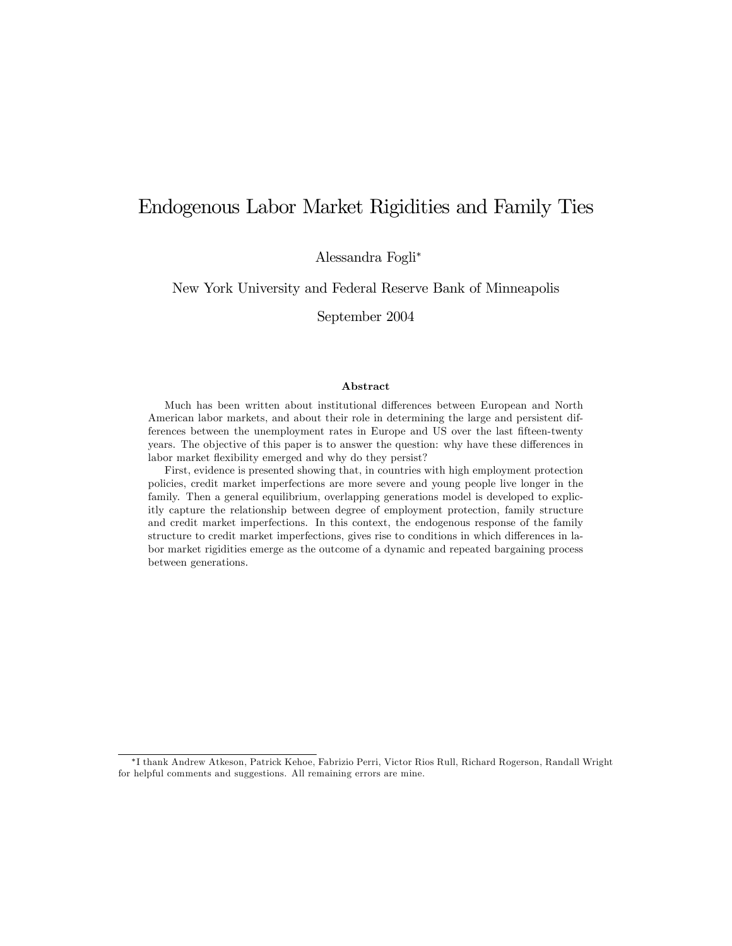# Endogenous Labor Market Rigidities and Family Ties

Alessandra Fogli<sup>∗</sup>

New York University and Federal Reserve Bank of Minneapolis

September 2004

### Abstract

Much has been written about institutional differences between European and North American labor markets, and about their role in determining the large and persistent differences between the unemployment rates in Europe and US over the last fifteen-twenty years. The objective of this paper is to answer the question: why have these differences in labor market flexibility emerged and why do they persist?

First, evidence is presented showing that, in countries with high employment protection policies, credit market imperfections are more severe and young people live longer in the family. Then a general equilibrium, overlapping generations model is developed to explicitly capture the relationship between degree of employment protection, family structure and credit market imperfections. In this context, the endogenous response of the family structure to credit market imperfections, gives rise to conditions in which differences in labor market rigidities emerge as the outcome of a dynamic and repeated bargaining process between generations.

<sup>∗</sup>I thank Andrew Atkeson, Patrick Kehoe, Fabrizio Perri, Victor Rios Rull, Richard Rogerson, Randall Wright for helpful comments and suggestions. All remaining errors are mine.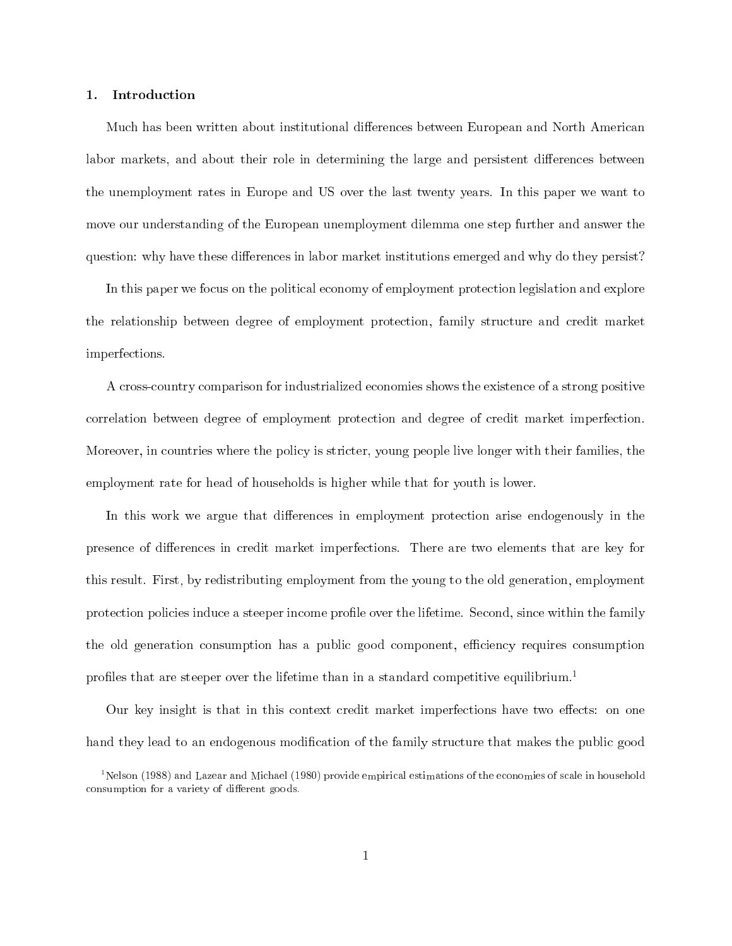### 1. Introduction

Much has been written about institutional differences between European and North American labor markets, and about their role in determining the large and persistent differences between the unemployment rates in Europe and US over the last twenty years. In this paper we want to move our understanding of the European unemployment dilemma one step further and answer the question: why have these differences in labor market institutions emerged and why do they persist?

In this paper we focus on the political economy of employment protection legislation and explore the relationship between degree of employment protection, family structure and credit market imperfections.

A cross-country comparison for industrialized economies shows the existence of a strong positive correlation between degree of employment protection and degree of credit market imperfection. Moreover, in countries where the policy is stricter, young people live longer with their families, the employment rate for head of households is higher while that for youth is lower.

In this work we argue that differences in employment protection arise endogenously in the presence of differences in credit market imperfections. There are two elements that are key for this result. First, by redistributing employment from the young to the old generation, employment protection policies induce a steeper income profile over the lifetime. Second, since within the family the old generation consumption has a public good component, efficiency requires consumption profiles that are steeper over the lifetime than in a standard competitive equilibrium.<sup>1</sup>

Our key insight is that in this context credit market imperfections have two effects: on one hand they lead to an endogenous modification of the family structure that makes the public good

 $^1$ Nelson (1988) and Lazear and Michael (1980) provide empirical estimations of the economies of scale in household consumption for a variety of different goods.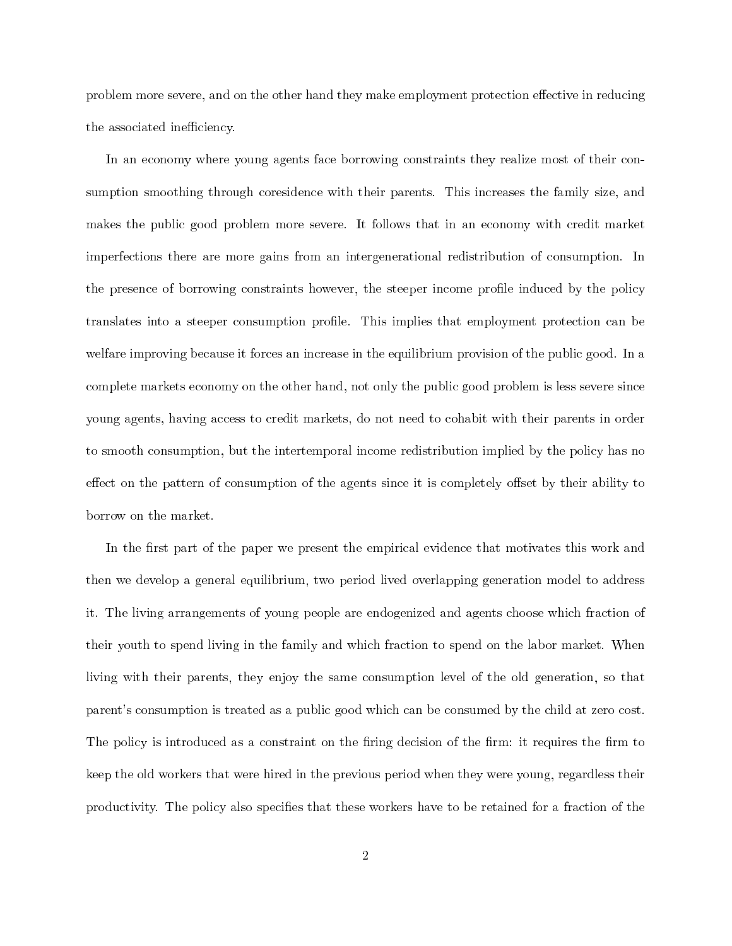problem more severe, and on the other hand they make employment protection effective in reducing the associated inefficiency.

In an economy where young agents face borrowing constraints they realize most of their consumption smoothing through coresidence with their parents. This increases the family size, and makes the public good problem more severe. It follows that in an economy with credit market imperfections there are more gains from an intergenerational redistribution of consumption. In the presence of borrowing constraints however, the steeper income profile induced by the policy translates into a steeper consumption profile. This implies that employment protection can be welfare improving because it forces an increase in the equilibrium provision of the public good. In a complete markets economy on the other hand, not only the public good problem is less severe since young agents, having access to credit markets, do not need to cohabit with their parents in order to smooth consumption, but the intertemporal income redistribution implied by the policy has no effect on the pattern of consumption of the agents since it is completely offset by their ability to borrow on the market.

In the first part of the paper we present the empirical evidence that motivates this work and then we develop a general equilibrium, two period lived overlapping generation model to address it. The living arrangements of young people are endogenized and agents choose which fraction of their youth to spend living in the family and which fraction to spend on the labor market. When living with their parents, they enjoy the same consumption level of the old generation, so that parent's consumption is treated as a public good which can be consumed by the child at zero cost. The policy is introduced as a constraint on the firing decision of the firm: it requires the firm to keep the old workers that were hired in the previous period when they were young, regardless their productivity. The policy also specifies that these workers have to be retained for a fraction of the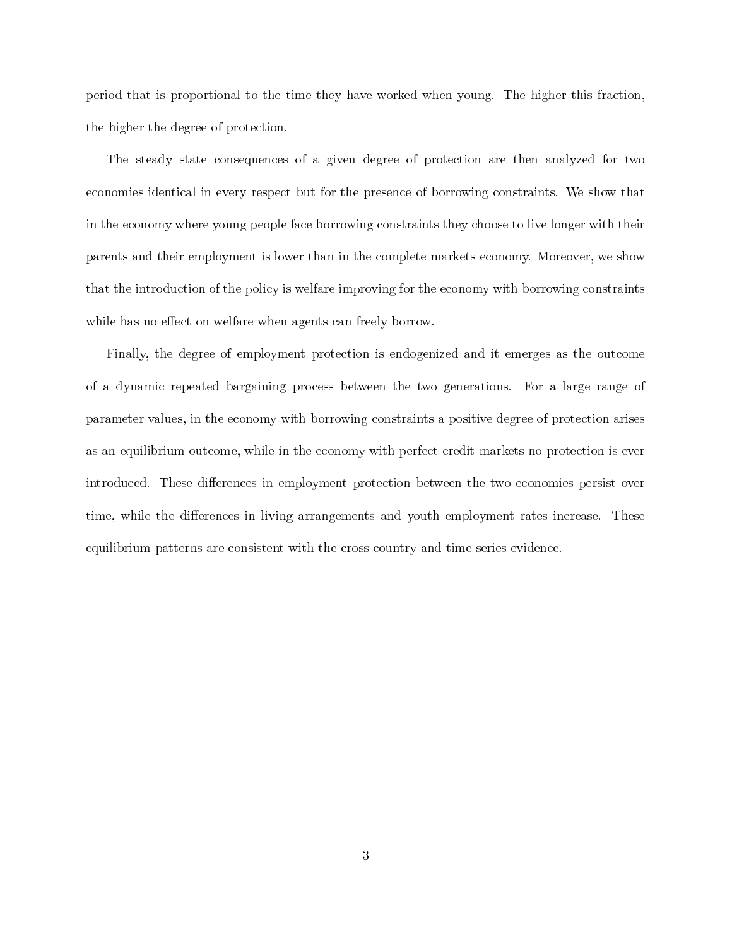period that is proportional to the time they have worked when young. The higher this fraction, the higher the degree of protection.

The steady state consequences of a given degree of protection are then analyzed for two economies identical in every respect but for the presence of borrowing constraints. We show that in the economy where young people face borrowing constraints they choose to live longer with their parents and their employment is lower than in the complete markets economy. Moreover, we show that the introduction of the policy is welfare improving for the economy with borrowing constraints while has no effect on welfare when agents can freely borrow.

Finally, the degree of employment protection is endogenized and it emerges as the outcome of a dynamic repeated bargaining process between the two generations. For a large range of parameter values, in the economy with borrowing constraints a positive degree of protection arises as an equilibrium outcome, while in the economy with perfect credit markets no protection is ever introduced. These differences in employment protection between the two economies persist over time, while the differences in living arrangements and youth employment rates increase. These equilibrium patterns are consistent with the cross-country and time series evidence.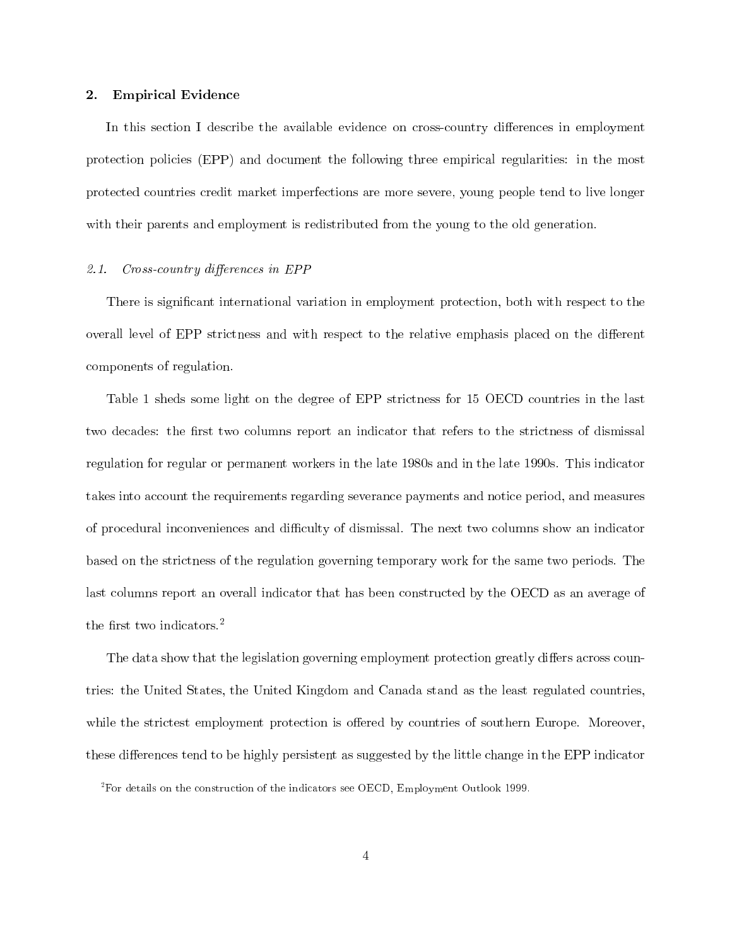#### **Empirical Evidence**  $2.$

In this section I describe the available evidence on cross-country differences in employment protection policies (EPP) and document the following three empirical regularities: in the most protected countries credit market imperfections are more severe, young people tend to live longer with their parents and employment is redistributed from the young to the old generation.

#### $2.1.$ Cross-country differences in EPP

There is significant international variation in employment protection, both with respect to the overall level of EPP strictness and with respect to the relative emphasis placed on the different components of regulation.

Table 1 sheds some light on the degree of EPP strictness for 15 OECD countries in the last two decades: the first two columns report an indicator that refers to the strictness of dismissal regulation for regular or permanent workers in the late 1980s and in the late 1990s. This indicator takes into account the requirements regarding severance payments and notice period, and measures of procedural inconveniences and difficulty of dismissal. The next two columns show an indicator based on the strictness of the regulation governing temporary work for the same two periods. The last columns report an overall indicator that has been constructed by the OECD as an average of the first two indicators. $^{2}$ 

The data show that the legislation governing employment protection greatly differs across countries: the United States, the United Kingdom and Canada stand as the least regulated countries, while the strictest employment protection is offered by countries of southern Europe. Moreover, these differences tend to be highly persistent as suggested by the little change in the EPP indicator

 ${}^{2}$  For details on the construction of the indicators see OECD, Employment Outlook 1999.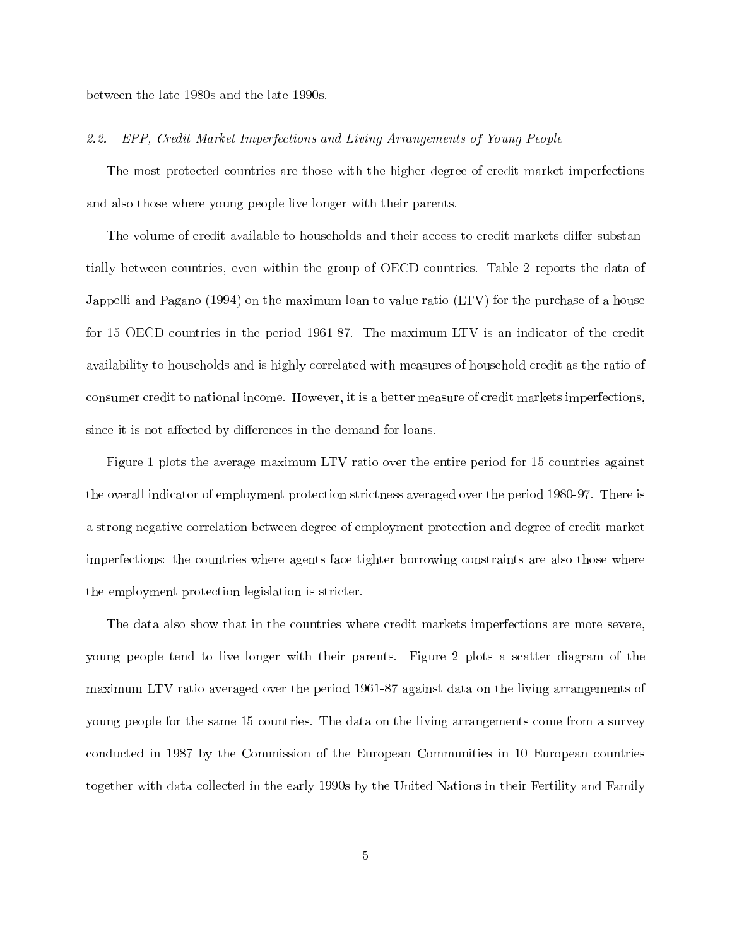between the late 1980s and the late 1990s.

#### $2.2.$ EPP, Credit Market Imperfections and Living Arrangements of Young People

The most protected countries are those with the higher degree of credit market imperfections and also those where young people live longer with their parents.

The volume of credit available to households and their access to credit markets differ substantially between countries, even within the group of OECD countries. Table 2 reports the data of Jappelli and Pagano (1994) on the maximum loan to value ratio (LTV) for the purchase of a house for 15 OECD countries in the period 1961-87. The maximum LTV is an indicator of the credit availability to households and is highly correlated with measures of household credit as the ratio of consumer credit to national income. However, it is a better measure of credit markets imperfections. since it is not affected by differences in the demand for loans.

Figure 1 plots the average maximum LTV ratio over the entire period for 15 countries against the overall indicator of employment protection strictness averaged over the period 1980-97. There is a strong negative correlation between degree of employment protection and degree of credit market imperfections: the countries where agents face tighter borrowing constraints are also those where the employment protection legislation is stricter.

The data also show that in the countries where credit markets imperfections are more severe, young people tend to live longer with their parents. Figure 2 plots a scatter diagram of the maximum LTV ratio averaged over the period 1961-87 against data on the living arrangements of young people for the same 15 countries. The data on the living arrangements come from a survey conducted in 1987 by the Commission of the European Communities in 10 European countries together with data collected in the early 1990s by the United Nations in their Fertility and Family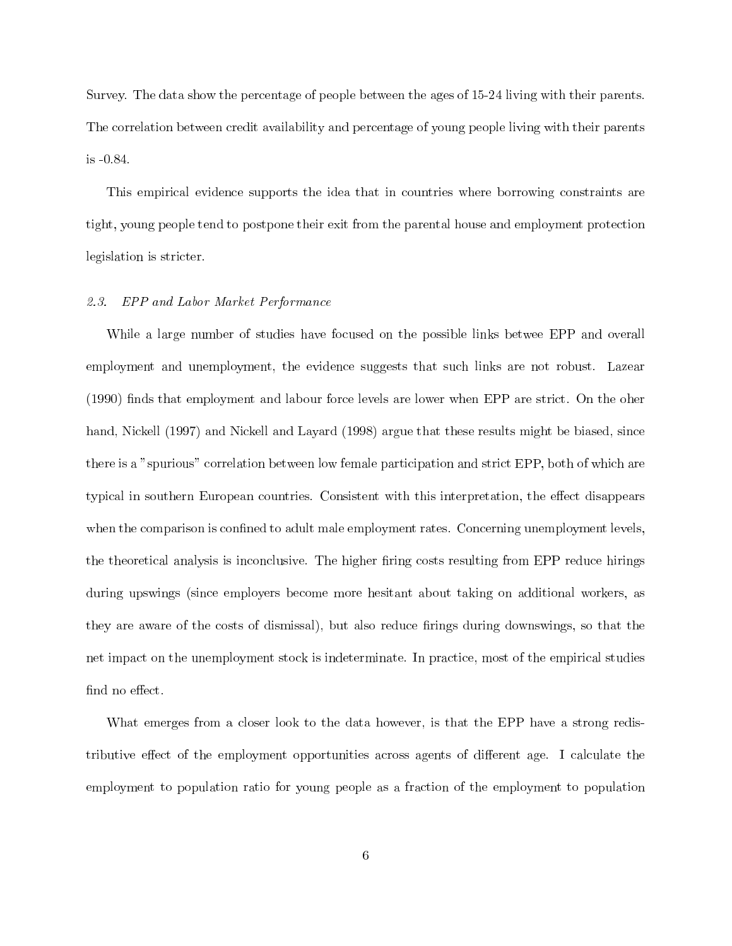Survey. The data show the percentage of people between the ages of 15-24 living with their parents. The correlation between credit availability and percentage of young people living with their parents is -0.84.

This empirical evidence supports the idea that in countries where borrowing constraints are tight, young people tend to postpone their exit from the parental house and employment protection legislation is stricter.

### 2.3. EPP and Labor Market Performance

While a large number of studies have focused on the possible links betwee EPP and overall employment and unemployment, the evidence suggests that such links are not robust. Lazear (1990) finds that employment and labour force levels are lower when EPP are strict. On the oher hand, Nickell (1997) and Nickell and Layard (1998) argue that these results might be biased, since there is a "spurious" correlation between low female participation and strict EPP, both of which are typical in southern European countries. Consistent with this interpretation, the effect disappears when the comparison is confined to adult male employment rates. Concerning unemployment levels, the theoretical analysis is inconclusive. The higher firing costs resulting from EPP reduce hirings during upswings (since employers become more hesitant about taking on additional workers, as they are aware of the costs of dismissal), but also reduce firings during downswings, so that the net impact on the unemployment stock is indeterminate. In practice, most of the empirical studies find no effect.

What emerges from a closer look to the data however, is that the EPP have a strong redistributive effect of the employment opportunities across agents of different age. I calculate the employment to population ratio for young people as a fraction of the employment to population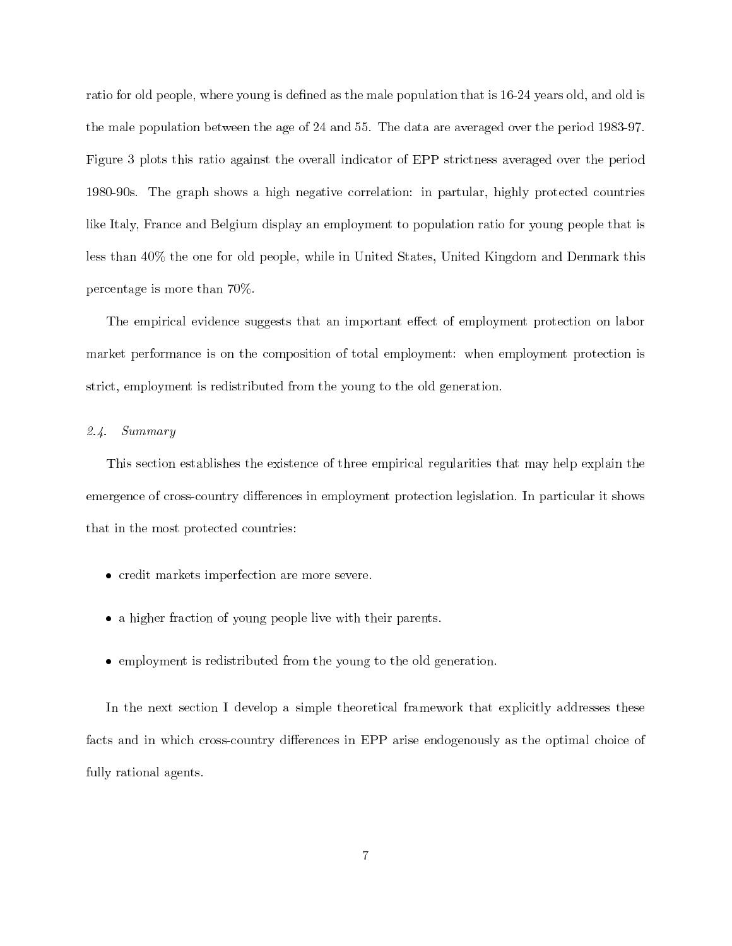ratio for old people, where young is defined as the male population that is 16-24 years old, and old is the male population between the age of 24 and 55. The data are averaged over the period 1983-97. Figure 3 plots this ratio against the overall indicator of EPP strictness averaged over the period 1980-90s. The graph shows a high negative correlation: in partular, highly protected countries like Italy, France and Belgium display an employment to population ratio for young people that is less than 40% the one for old people, while in United States, United Kingdom and Denmark this percentage is more than  $70\%$ .

The empirical evidence suggests that an important effect of employment protection on labor market performance is on the composition of total employment: when employment protection is strict, employment is redistributed from the young to the old generation.

#### $2.4.$  $Summary$

This section establishes the existence of three empirical regularities that may help explain the emergence of cross-country differences in employment protection legislation. In particular it shows that in the most protected countries:

- credit markets imperfection are more severe.
- a higher fraction of young people live with their parents.
- employment is redistributed from the young to the old generation.

In the next section I develop a simple theoretical framework that explicitly addresses these facts and in which cross-country differences in EPP arise endogenously as the optimal choice of fully rational agents.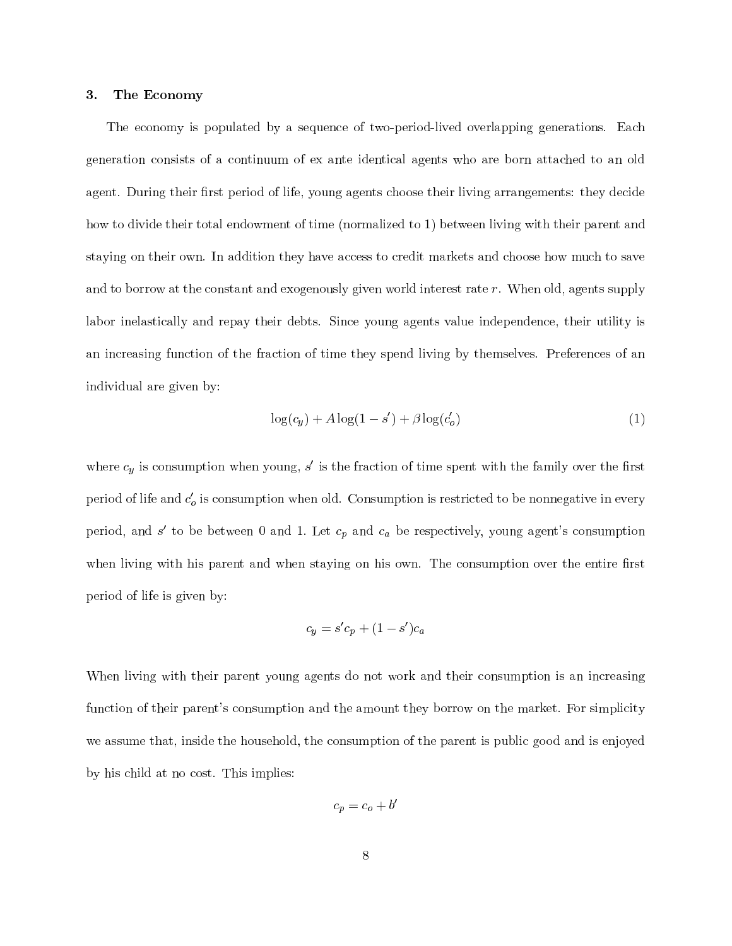#### The Economy 3.

The economy is populated by a sequence of two-period-lived overlapping generations. Each generation consists of a continuum of ex ante identical agents who are born attached to an old agent. During their first period of life, young agents choose their living arrangements: they decide how to divide their total endowment of time (normalized to 1) between living with their parent and staying on their own. In addition they have access to credit markets and choose how much to save and to borrow at the constant and exogenously given world interest rate r. When old, agents supply labor inelastically and repay their debts. Since young agents value independence, their utility is an increasing function of the fraction of time they spend living by themselves. Preferences of an individual are given by:

$$
\log(c_y) + A\log(1 - s') + \beta \log(c_o') \tag{1}
$$

where  $c_y$  is consumption when young,  $s'$  is the fraction of time spent with the family over the first period of life and  $c'_{o}$  is consumption when old. Consumption is restricted to be nonnegative in every period, and s' to be between 0 and 1. Let  $c_p$  and  $c_a$  be respectively, young agent's consumption when living with his parent and when staying on his own. The consumption over the entire first period of life is given by:

$$
c_y = s'c_p + (1 - s')c_a
$$

When living with their parent young agents do not work and their consumption is an increasing function of their parent's consumption and the amount they borrow on the market. For simplicity we assume that, inside the household, the consumption of the parent is public good and is enjoyed by his child at no cost. This implies:

$$
c_p = c_o + b'
$$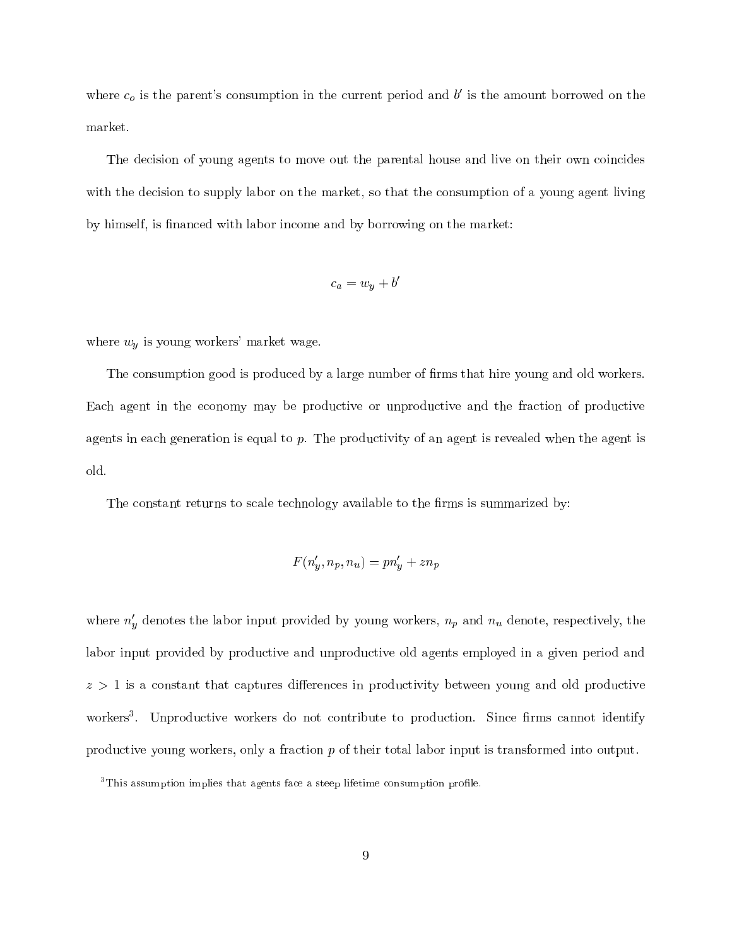where  $c_o$  is the parent's consumption in the current period and b' is the amount borrowed on the market.

The decision of young agents to move out the parental house and live on their own coincides with the decision to supply labor on the market, so that the consumption of a young agent living by himself, is financed with labor income and by borrowing on the market:

$$
c_a = w_y + b'
$$

where  $w_y$  is young workers' market wage.

The consumption good is produced by a large number of firms that hire young and old workers. Each agent in the economy may be productive or unproductive and the fraction of productive agents in each generation is equal to  $p$ . The productivity of an agent is revealed when the agent is old.

The constant returns to scale technology available to the firms is summarized by:

$$
F(n'_y, n_p, n_u) = pn'_y + zn_p
$$

where  $n'_y$  denotes the labor input provided by young workers,  $n_p$  and  $n_u$  denote, respectively, the labor input provided by productive and unproductive old agents employed in a given period and  $z > 1$  is a constant that captures differences in productivity between young and old productive workers<sup>3</sup>. Unproductive workers do not contribute to production. Since firms cannot identify productive young workers, only a fraction  $p$  of their total labor input is transformed into output.

<sup>&</sup>lt;sup>3</sup>This assumption implies that agents face a steep lifetime consumption profile.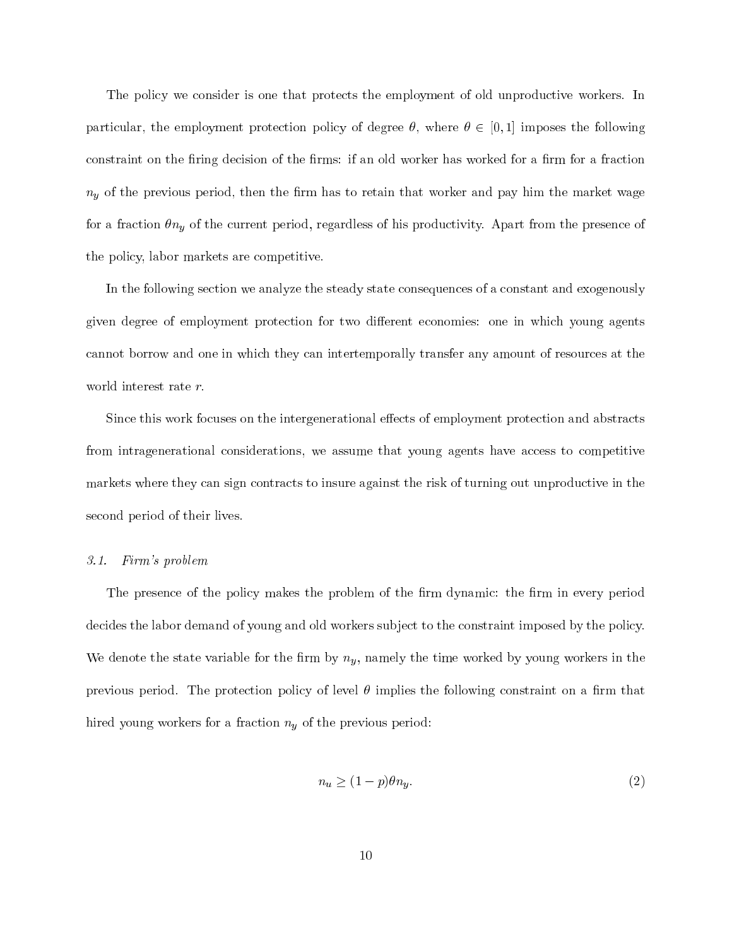The policy we consider is one that protects the employment of old unproductive workers. In particular, the employment protection policy of degree  $\theta$ , where  $\theta \in [0,1]$  imposes the following constraint on the firing decision of the firms: if an old worker has worked for a firm for a fraction  $n_y$  of the previous period, then the firm has to retain that worker and pay him the market wage for a fraction  $\theta n_y$  of the current period, regardless of his productivity. Apart from the presence of the policy, labor markets are competitive.

In the following section we analyze the steady state consequences of a constant and exogenously given degree of employment protection for two different economies: one in which young agents cannot borrow and one in which they can intertemporally transfer any amount of resources at the world interest rate  $r$ .

Since this work focuses on the intergenerational effects of employment protection and abstracts from intragenerational considerations, we assume that young agents have access to competitive markets where they can sign contracts to insure against the risk of turning out unproductive in the second period of their lives.

### 3.1. Firm's problem

The presence of the policy makes the problem of the firm dynamic: the firm in every period decides the labor demand of young and old workers subject to the constraint imposed by the policy. We denote the state variable for the firm by  $n_y$ , namely the time worked by young workers in the previous period. The protection policy of level  $\theta$  implies the following constraint on a firm that hired young workers for a fraction  $n_y$  of the previous period:

$$
n_u \ge (1 - p)\theta n_y. \tag{2}
$$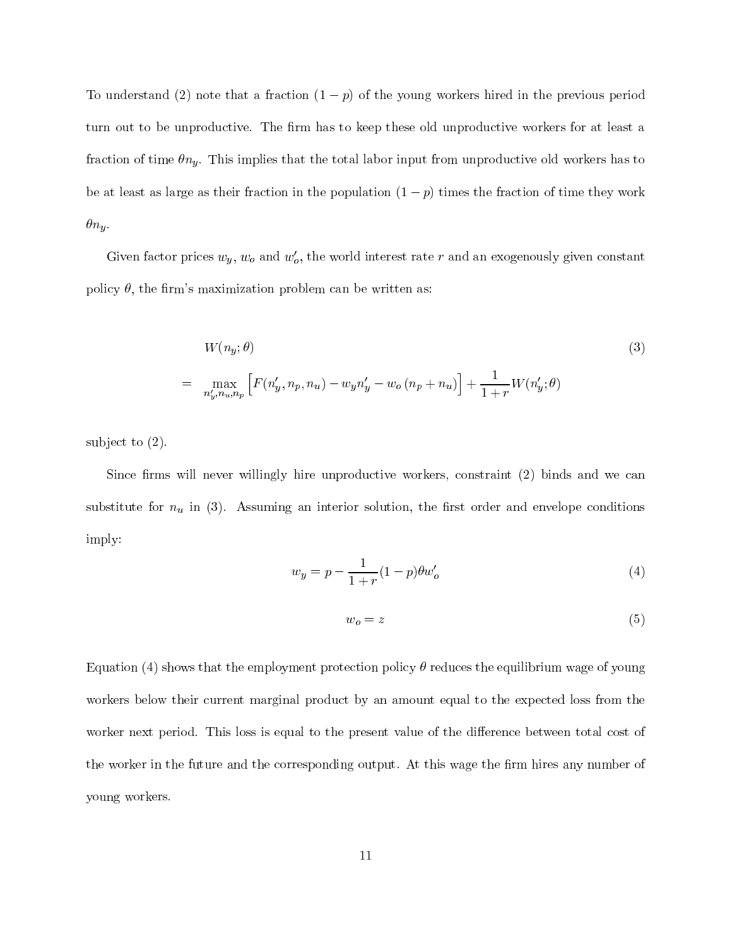To understand (2) note that a fraction  $(1 - p)$  of the young workers hired in the previous period turn out to be unproductive. The firm has to keep these old unproductive workers for at least a fraction of time  $\theta n_y$ . This implies that the total labor input from unproductive old workers has to be at least as large as their fraction in the population  $(1 - p)$  times the fraction of time they work  $\theta n_y$ .

Given factor prices  $w_y$ ,  $w_o$  and  $w'_o$ , the world interest rate r and an exogenously given constant policy  $\theta$ , the firm's maximization problem can be written as:

$$
W(n_y; \theta) \tag{3}
$$
  
= 
$$
\max_{n'_y, n_u, n_p} \left[ F(n'_y, n_p, n_u) - w_y n'_y - w_o (n_p + n_u) \right] + \frac{1}{1+r} W(n'_y; \theta)
$$

subject to  $(2)$ .

Since firms will never willingly hire unproductive workers, constraint (2) binds and we can substitute for  $n_u$  in (3). Assuming an interior solution, the first order and envelope conditions imply:

$$
w_y = p - \frac{1}{1+r}(1-p)\theta w'_o
$$
 (4)

$$
w_o = z \tag{5}
$$

Equation (4) shows that the employment protection policy  $\theta$  reduces the equilibrium wage of young workers below their current marginal product by an amount equal to the expected loss from the worker next period. This loss is equal to the present value of the difference between total cost of the worker in the future and the corresponding output. At this wage the firm hires any number of young workers.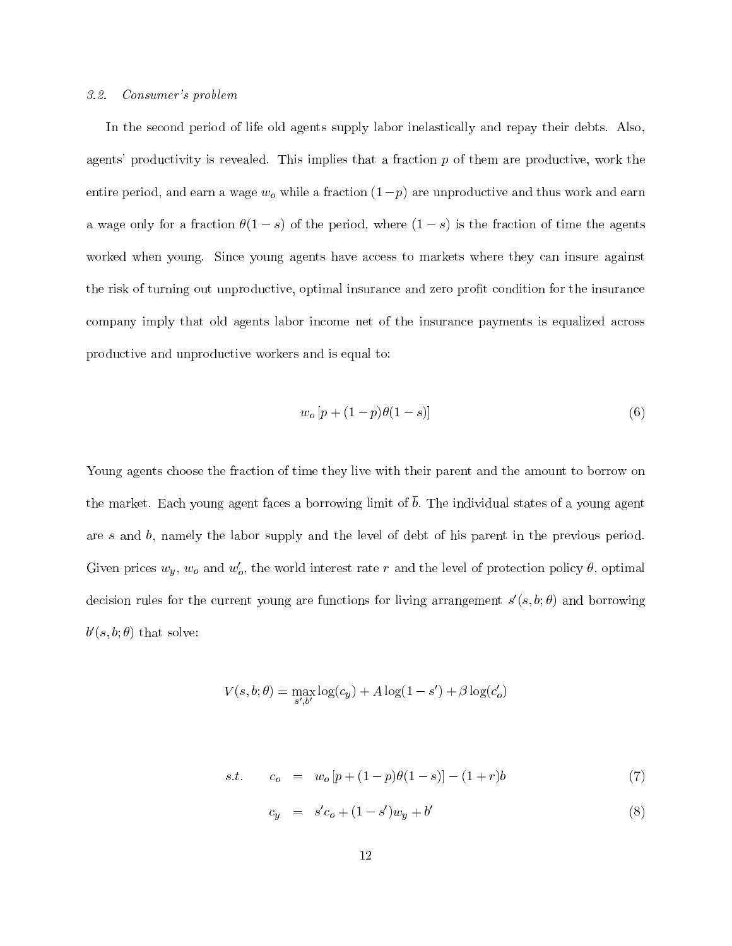#### $3.2.$ Consumer's problem

In the second period of life old agents supply labor inelastically and repay their debts. Also, agents' productivity is revealed. This implies that a fraction  $p$  of them are productive, work the entire period, and earn a wage  $w_o$  while a fraction  $(1-p)$  are unproductive and thus work and earn a wage only for a fraction  $\theta(1-s)$  of the period, where  $(1-s)$  is the fraction of time the agents worked when young. Since young agents have access to markets where they can insure against the risk of turning out unproductive, optimal insurance and zero profit condition for the insurance company imply that old agents labor income net of the insurance payments is equalized across productive and unproductive workers and is equal to:

$$
w_o \left[ p + (1 - p)\theta(1 - s) \right] \tag{6}
$$

Young agents choose the fraction of time they live with their parent and the amount to borrow on the market. Each young agent faces a borrowing limit of  $\bar{b}$ . The individual states of a young agent are  $s$  and  $b$ , namely the labor supply and the level of debt of his parent in the previous period. Given prices  $w_y$ ,  $w_o$  and  $w'_o$ , the world interest rate r and the level of protection policy  $\theta$ , optimal decision rules for the current young are functions for living arrangement  $s'(s,b;\theta)$  and borrowing  $b'(s, b; \theta)$  that solve:

$$
V(s, b; \theta) = \max_{s', b'} \log(c_y) + A \log(1 - s') + \beta \log(c'_o)
$$

s.t. 
$$
c_o = w_o [p + (1 - p)\theta(1 - s)] - (1 + r)b
$$
 (7)

 $c_y = s'c_o + (1 - s')w_y + b'$  $(8)$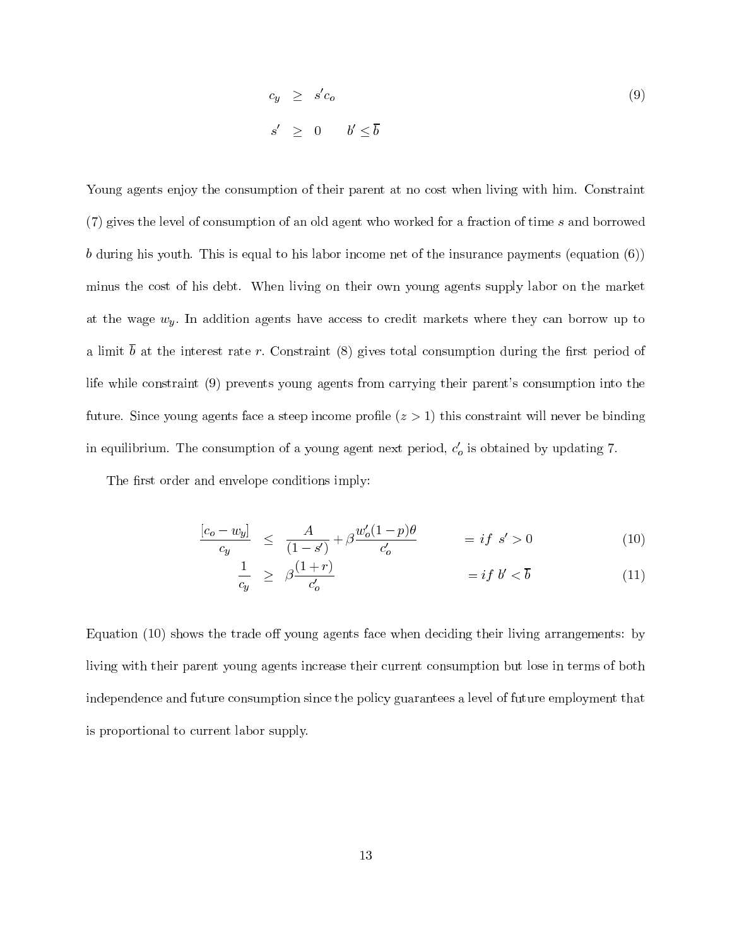$$
c_y \ge s'c_o
$$
  
\n
$$
s' > 0 \t b' < \overline{b}
$$
\n(9)

Young agents enjoy the consumption of their parent at no cost when living with him. Constraint (7) gives the level of consumption of an old agent who worked for a fraction of time s and borrowed b during his youth. This is equal to his labor income net of the insurance payments (equation  $(6)$ ) minus the cost of his debt. When living on their own young agents supply labor on the market at the wage  $w_y$ . In addition agents have access to credit markets where they can borrow up to a limit  $\bar{b}$  at the interest rate r. Constraint (8) gives total consumption during the first period of life while constraint (9) prevents young agents from carrying their parent's consumption into the future. Since young agents face a steep income profile  $(z > 1)$  this constraint will never be binding in equilibrium. The consumption of a young agent next period,  $c'_{o}$  is obtained by updating 7.

The first order and envelope conditions imply:

$$
\frac{[c_o - w_y]}{c_y} \leq \frac{A}{(1 - s')} + \beta \frac{w'_o (1 - p)\theta}{c'_o} = if \ s' > 0 \tag{10}
$$

$$
\frac{1}{c_y} \ge \beta \frac{(1+r)}{c_o'} \qquad \qquad = if \ b' < \overline{b} \tag{11}
$$

Equation (10) shows the trade off young agents face when deciding their living arrangements: by living with their parent young agents increase their current consumption but lose in terms of both independence and future consumption since the policy guarantees a level of future employment that is proportional to current labor supply.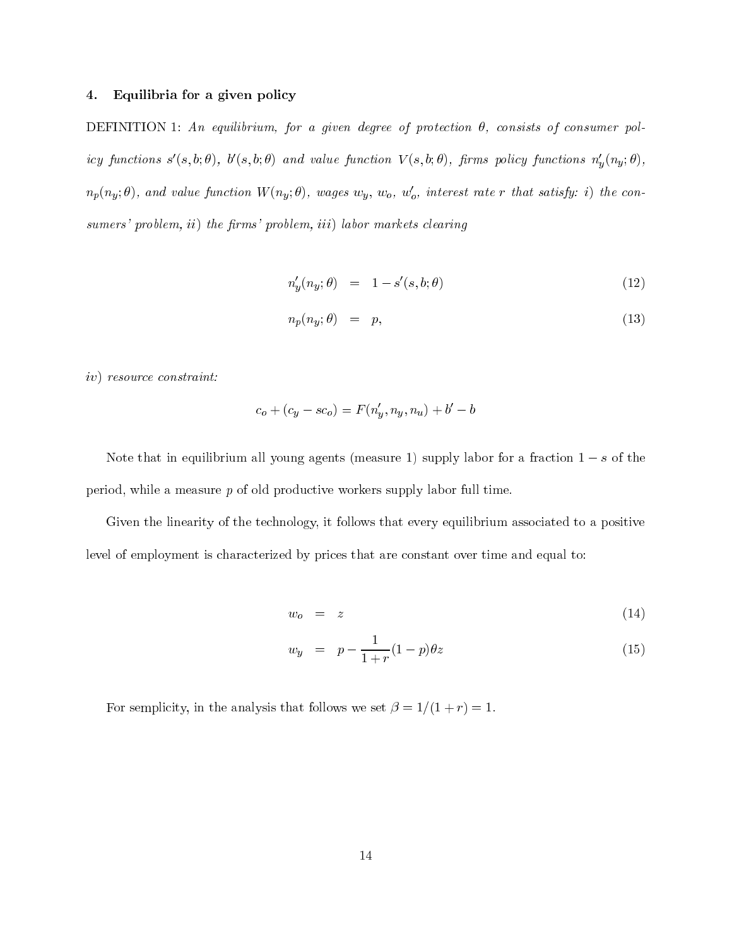#### Equilibria for a given policy 4.

DEFINITION 1: An equilibrium, for a given degree of protection  $\theta$ , consists of consumer pol $icy \ functions \ s'(s,b;\theta), \ b'(s,b;\theta) \ and \ value \ function \ V(s,b;\theta), \ firms \ policy \ functions \ n_y'(n_y;\theta),$  $n_p(n_y; \theta)$ , and value function  $W(n_y; \theta)$ , wages  $w_y$ ,  $w_o$ ,  $w'_o$ , interest rate r that satisfy: i) the consumers' problem, ii) the firms' problem, iii) labor markets clearing

$$
n_y'(n_y; \theta) = 1 - s'(s, b; \theta) \tag{12}
$$

$$
n_p(n_y; \theta) = p,\tag{13}
$$

 $iv)$  resource constraint:

$$
c_o + (c_y - sc_o) = F(n'_y, n_y, n_u) + b' - b
$$

Note that in equilibrium all young agents (measure 1) supply labor for a fraction  $1-s$  of the period, while a measure  $p$  of old productive workers supply labor full time.

Given the linearity of the technology, it follows that every equilibrium associated to a positive level of employment is characterized by prices that are constant over time and equal to:

$$
w_o = z \tag{14}
$$

$$
w_y = p - \frac{1}{1+r}(1-p)\theta z \tag{15}
$$

For semplicity, in the analysis that follows we set  $\beta = 1/(1+r) = 1$ .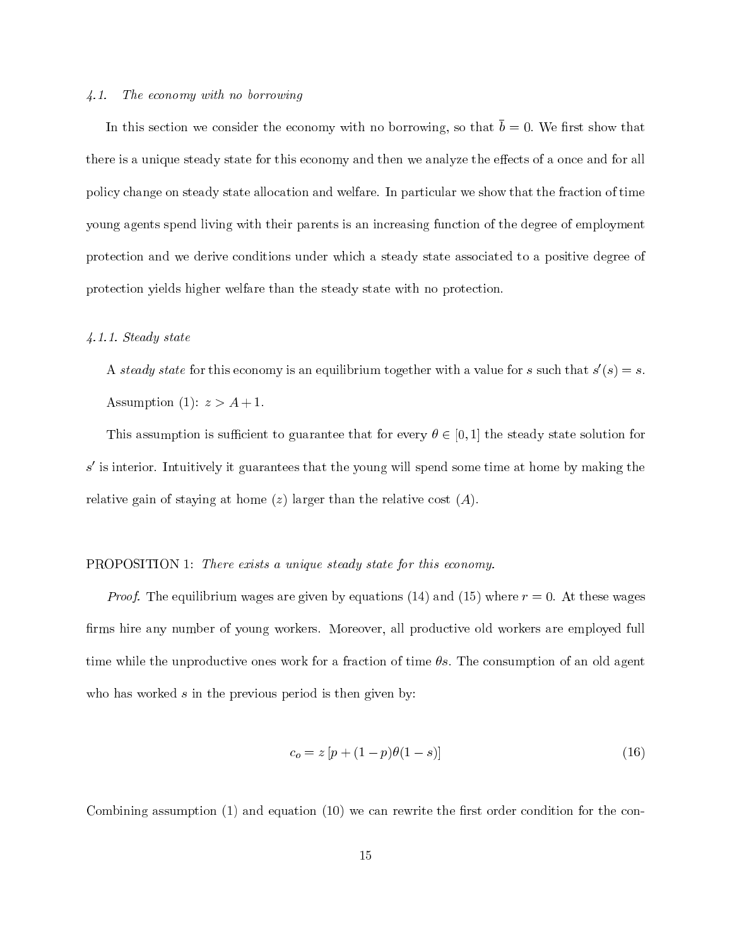#### $\angle 4.1.$ The economy with no borrowing

In this section we consider the economy with no borrowing, so that  $\bar{b} = 0$ . We first show that there is a unique steady state for this economy and then we analyze the effects of a once and for all policy change on steady state allocation and welfare. In particular we show that the fraction of time young agents spend living with their parents is an increasing function of the degree of employment protection and we derive conditions under which a steady state associated to a positive degree of protection yields higher welfare than the steady state with no protection.

### $4.1.1. Steady state$

A steady state for this economy is an equilibrium together with a value for s such that  $s'(s) = s$ . Assumption (1):  $z > A + 1$ .

This assumption is sufficient to guarantee that for every  $\theta \in [0,1]$  the steady state solution for  $s'$  is interior. Intuitively it guarantees that the young will spend some time at home by making the relative gain of staying at home  $(z)$  larger than the relative cost  $(A)$ .

### **PROPOSITION 1:** There exists a unique steady state for this economy.

*Proof.* The equilibrium wages are given by equations (14) and (15) where  $r = 0$ . At these wages firms hire any number of young workers. Moreover, all productive old workers are employed full time while the unproductive ones work for a fraction of time  $\theta s$ . The consumption of an old agent who has worked  $s$  in the previous period is then given by:

$$
c_o = z \left[ p + (1 - p)\theta(1 - s) \right] \tag{16}
$$

Combining assumption  $(1)$  and equation  $(10)$  we can rewrite the first order condition for the con-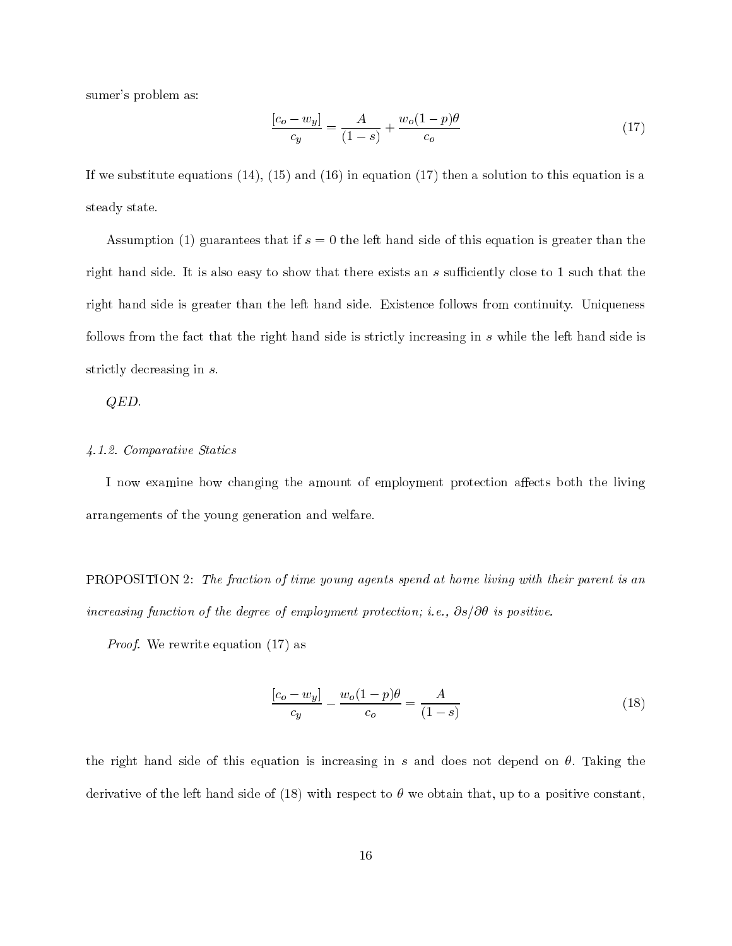sumer's problem as:

$$
\frac{[c_o - w_y]}{c_y} = \frac{A}{(1 - s)} + \frac{w_o (1 - p)\theta}{c_o}
$$
\n(17)

If we substitute equations  $(14)$ ,  $(15)$  and  $(16)$  in equation  $(17)$  then a solution to this equation is a steady state.

Assumption (1) guarantees that if  $s = 0$  the left hand side of this equation is greater than the right hand side. It is also easy to show that there exists an s sufficiently close to 1 such that the right hand side is greater than the left hand side. Existence follows from continuity. Uniqueness follows from the fact that the right hand side is strictly increasing in s while the left hand side is strictly decreasing in  $s$ .

 $QED.$ 

### 4.1.2. Comparative Statics

I now examine how changing the amount of employment protection affects both the living arrangements of the young generation and welfare.

**PROPOSITION** 2: The fraction of time young agents spend at home living with their parent is an increasing function of the degree of employment protection; i.e.,  $\partial s/\partial \theta$  is positive.

*Proof.* We rewrite equation  $(17)$  as

$$
\frac{[c_o - w_y]}{c_y} - \frac{w_o(1-p)\theta}{c_o} = \frac{A}{(1-s)}
$$
\n(18)

the right hand side of this equation is increasing in s and does not depend on  $\theta$ . Taking the derivative of the left hand side of (18) with respect to  $\theta$  we obtain that, up to a positive constant,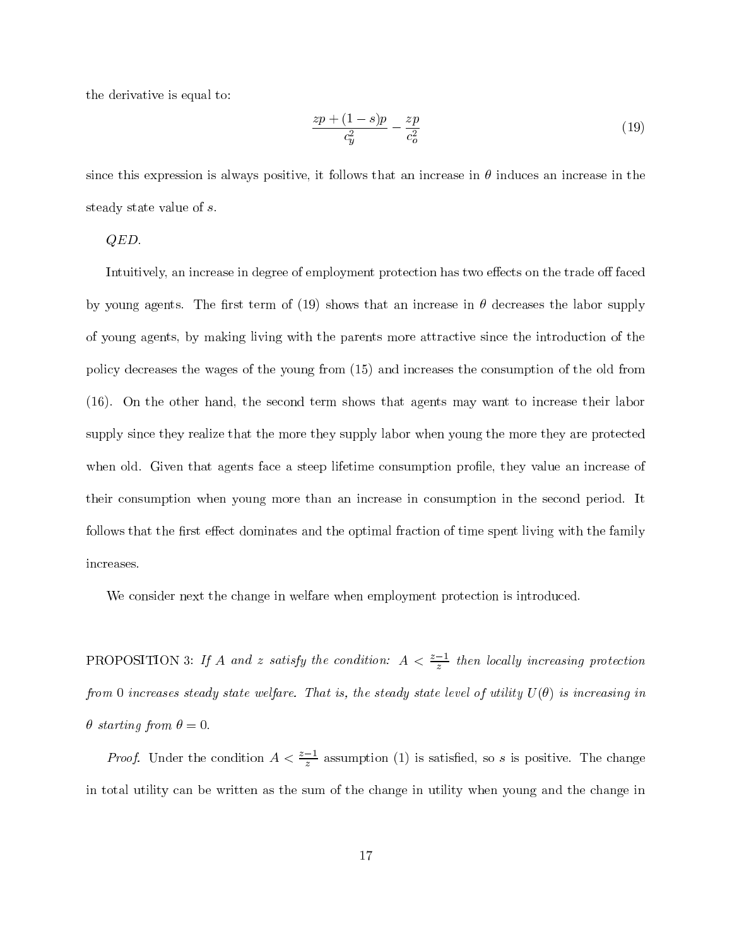the derivative is equal to:

$$
\frac{zp + (1-s)p}{c_y^2} - \frac{zp}{c_o^2} \tag{19}
$$

since this expression is always positive, it follows that an increase in  $\theta$  induces an increase in the steady state value of s.

 $QED.$ 

Intuitively, an increase in degree of employment protection has two effects on the trade off faced by young agents. The first term of (19) shows that an increase in  $\theta$  decreases the labor supply of young agents, by making living with the parents more attractive since the introduction of the policy decreases the wages of the young from (15) and increases the consumption of the old from (16). On the other hand, the second term shows that agents may want to increase their labor supply since they realize that the more they supply labor when young the more they are protected when old. Given that agents face a steep lifetime consumption profile, they value an increase of their consumption when young more than an increase in consumption in the second period. It follows that the first effect dominates and the optimal fraction of time spent living with the family increases.

We consider next the change in welfare when employment protection is introduced.

PROPOSITION 3: If A and z satisfy the condition:  $A < \frac{z-1}{z}$  then locally increasing protection from 0 increases steady state welfare. That is, the steady state level of utility  $U(\theta)$  is increasing in  $\theta$  starting from  $\theta = 0$ .

*Proof.* Under the condition  $A < \frac{z-1}{z}$  assumption (1) is satisfied, so s is positive. The change in total utility can be written as the sum of the change in utility when young and the change in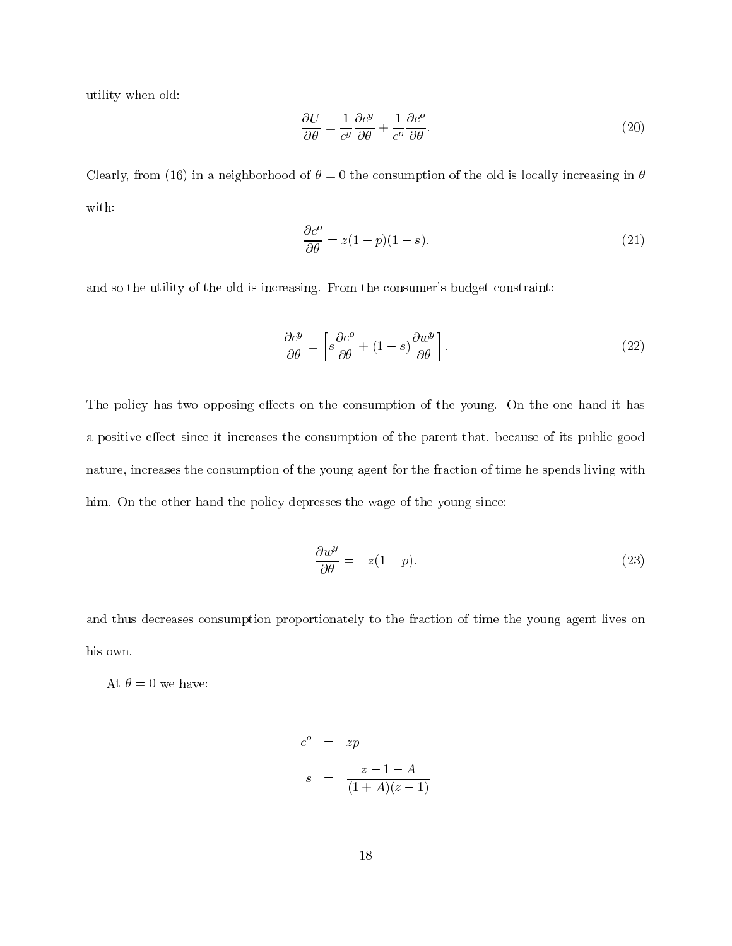utility when old:

$$
\frac{\partial U}{\partial \theta} = \frac{1}{c^y} \frac{\partial c^y}{\partial \theta} + \frac{1}{c^o} \frac{\partial c^o}{\partial \theta}.
$$
\n(20)

Clearly, from (16) in a neighborhood of  $\theta = 0$  the consumption of the old is locally increasing in  $\theta$ with:

$$
\frac{\partial c^o}{\partial \theta} = z(1 - p)(1 - s). \tag{21}
$$

and so the utility of the old is increasing. From the consumer's budget constraint:

$$
\frac{\partial c^y}{\partial \theta} = \left[ s \frac{\partial c^o}{\partial \theta} + (1 - s) \frac{\partial w^y}{\partial \theta} \right].
$$
\n(22)

The policy has two opposing effects on the consumption of the young. On the one hand it has a positive effect since it increases the consumption of the parent that, because of its public good nature, increases the consumption of the young agent for the fraction of time he spends living with him. On the other hand the policy depresses the wage of the young since:

$$
\frac{\partial w^y}{\partial \theta} = -z(1-p). \tag{23}
$$

and thus decreases consumption proportionately to the fraction of time the young agent lives on his own.

At  $\theta = 0$  we have:

$$
co = zp
$$
  

$$
s = \frac{z - 1 - A}{(1 + A)(z - 1)}
$$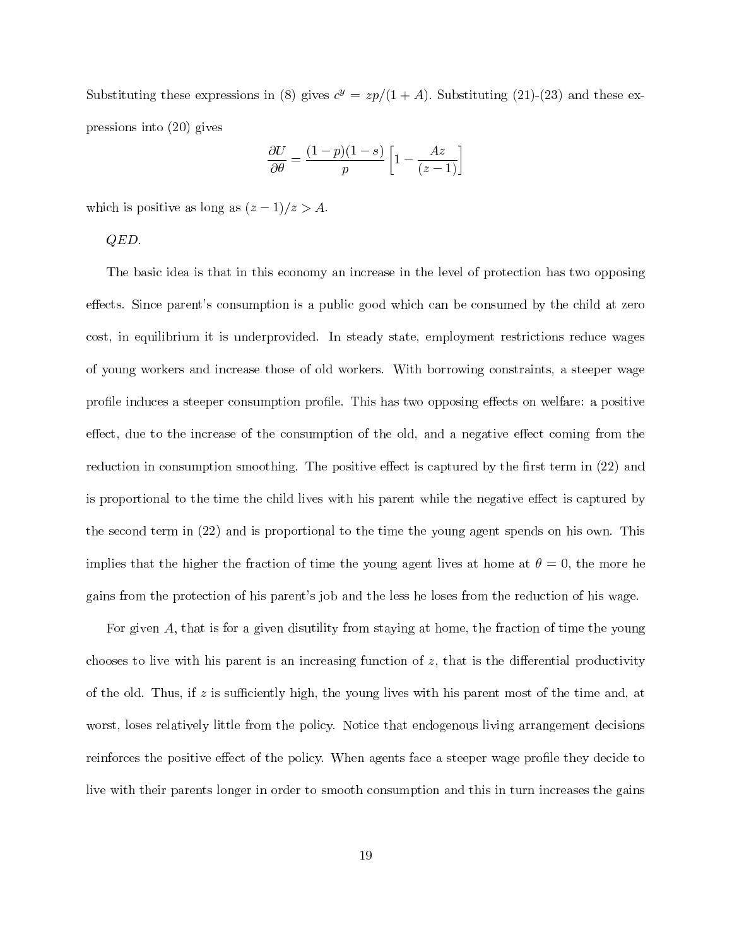Substituting these expressions in (8) gives  $c^y = zp/(1 + A)$ . Substituting (21)-(23) and these expressions into  $(20)$  gives

$$
\frac{\partial U}{\partial \theta} = \frac{(1-p)(1-s)}{p} \left[ 1 - \frac{Az}{(z-1)} \right]
$$

which is positive as long as  $(z-1)/z > A$ .

 $QED.$ 

The basic idea is that in this economy an increase in the level of protection has two opposing effects. Since parent's consumption is a public good which can be consumed by the child at zero cost, in equilibrium it is underprovided. In steady state, employment restrictions reduce wages of young workers and increase those of old workers. With borrowing constraints, a steeper wage profile induces a steeper consumption profile. This has two opposing effects on welfare: a positive effect, due to the increase of the consumption of the old, and a negative effect coming from the reduction in consumption smoothing. The positive effect is captured by the first term in (22) and is proportional to the time the child lives with his parent while the negative effect is captured by the second term in (22) and is proportional to the time the young agent spends on his own. This implies that the higher the fraction of time the young agent lives at home at  $\theta = 0$ , the more he gains from the protection of his parent's job and the less he loses from the reduction of his wage.

For given A, that is for a given disutility from staying at home, the fraction of time the young chooses to live with his parent is an increasing function of  $z$ , that is the differential productivity of the old. Thus, if z is sufficiently high, the young lives with his parent most of the time and, at worst, loses relatively little from the policy. Notice that endogenous living arrangement decisions reinforces the positive effect of the policy. When agents face a steeper wage profile they decide to live with their parents longer in order to smooth consumption and this in turn increases the gains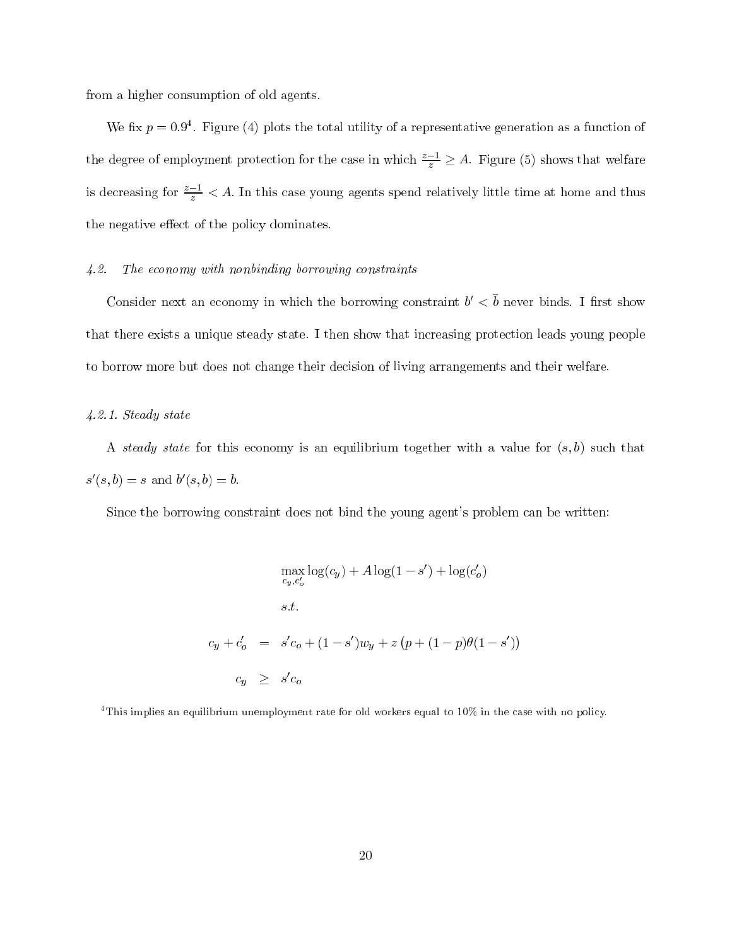from a higher consumption of old agents.

We fix  $p = 0.9<sup>4</sup>$ . Figure (4) plots the total utility of a representative generation as a function of the degree of employment protection for the case in which  $\frac{z-1}{z} \geq A$ . Figure (5) shows that welfare is decreasing for  $\frac{z-1}{z} < A$ . In this case young agents spend relatively little time at home and thus the negative effect of the policy dominates.

### $4.2.$ The economy with nonbinding borrowing constraints

Consider next an economy in which the borrowing constraint  $b' < \overline{b}$  never binds. I first show that there exists a unique steady state. I then show that increasing protection leads young people to borrow more but does not change their decision of living arrangements and their welfare.

### $4.2.1. Steady state$

A steady state for this economy is an equilibrium together with a value for  $(s, b)$  such that  $s'(s, b) = s$  and  $b'(s, b) = b$ .

Since the borrowing constraint does not bind the young agent's problem can be written:

$$
\max_{c_y, c'_o} \log(c_y) + A \log(1 - s') + \log(c'_o)
$$
  
s.t.  

$$
c_y + c'_o = s'c_o + (1 - s')w_y + z (p + (1 - p)\theta(1 - s'))
$$
  

$$
c_y \geq s'c_o
$$

<sup>4</sup>This implies an equilibrium unemployment rate for old workers equal to 10% in the case with no policy.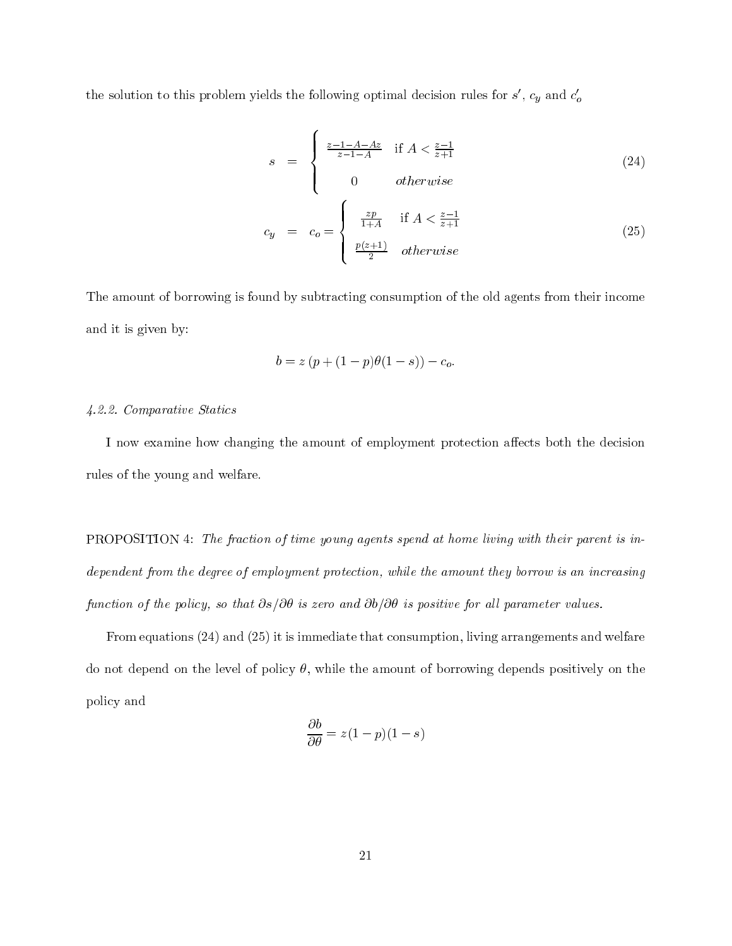the solution to this problem yields the following optimal decision rules for  $s'$ ,  $c_y$  and  $c'_\sigma$ 

$$
s = \begin{cases} \frac{z-1-A-Az}{z-1-A} & \text{if } A < \frac{z-1}{z+1} \\ 0 & otherwise \end{cases}
$$
 (24)  

$$
c_y = c_o = \begin{cases} \frac{zp}{1+A} & \text{if } A < \frac{z-1}{z+1} \\ \frac{p(z+1)}{2} & otherwise \end{cases}
$$

The amount of borrowing is found by subtracting consumption of the old agents from their income and it is given by:

$$
b = z (p + (1 - p)\theta(1 - s)) - c_o.
$$

## 4.2.2. Comparative Statics

I now examine how changing the amount of employment protection affects both the decision rules of the young and welfare.

**PROPOSITION** 4: The fraction of time young agents spend at home living with their parent is independent from the degree of employment protection, while the amount they borrow is an increasing function of the policy, so that  $\partial s/\partial \theta$  is zero and  $\partial b/\partial \theta$  is positive for all parameter values.

From equations  $(24)$  and  $(25)$  it is immediate that consumption, living arrangements and welfare do not depend on the level of policy  $\theta$ , while the amount of borrowing depends positively on the policy and

$$
\frac{\partial b}{\partial \theta} = z(1-p)(1-s)
$$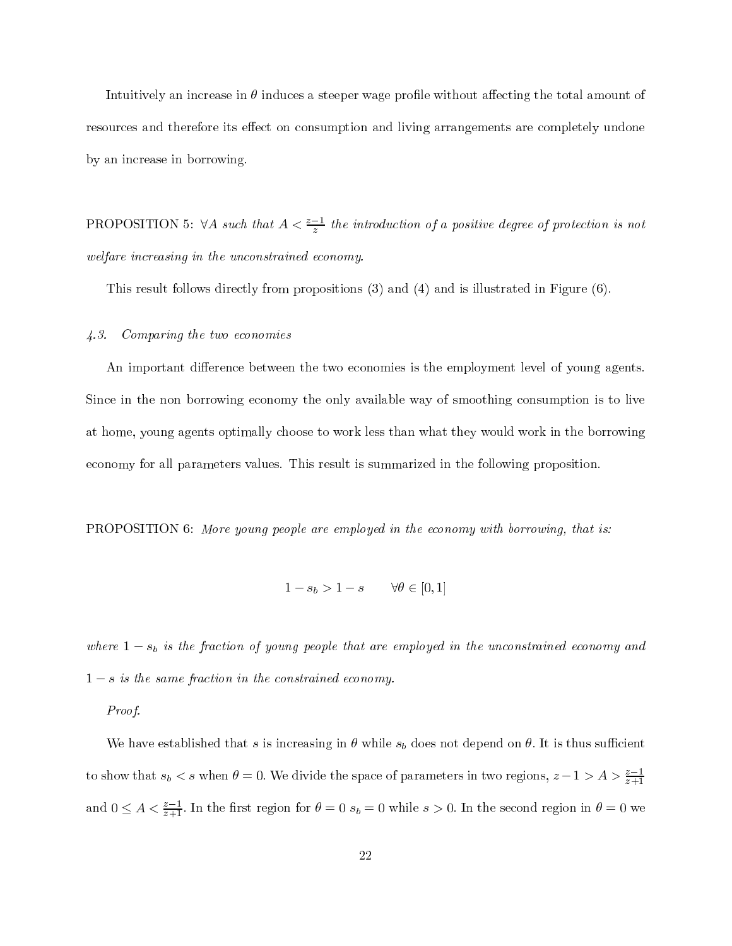Intuitively an increase in  $\theta$  induces a steeper wage profile without affecting the total amount of resources and therefore its effect on consumption and living arrangements are completely undone by an increase in borrowing.

PROPOSITION 5:  $\forall A$  such that  $A < \frac{z-1}{z}$  the introduction of a positive degree of protection is not welfare increasing in the unconstrained economy.

This result follows directly from propositions  $(3)$  and  $(4)$  and is illustrated in Figure  $(6)$ .

### Comparing the two economies  $\angle 4.3.$

An important difference between the two economies is the employment level of young agents. Since in the non borrowing economy the only available way of smoothing consumption is to live at home, young agents optimally choose to work less than what they would work in the borrowing economy for all parameters values. This result is summarized in the following proposition.

**PROPOSITION** 6: More young people are employed in the economy with borrowing, that is:

$$
1 - s_b > 1 - s \qquad \forall \theta \in [0, 1]
$$

where  $1-s_b$  is the fraction of young people that are employed in the unconstrained economy and  $1-s$  is the same fraction in the constrained economy.

Proof.

We have established that s is increasing in  $\theta$  while  $s_b$  does not depend on  $\theta$ . It is thus sufficient to show that  $s_b < s$  when  $\theta = 0$ . We divide the space of parameters in two regions,  $z - 1 > A > \frac{z-1}{z+1}$ and  $0 \leq A < \frac{z-1}{z+1}$ . In the first region for  $\theta = 0$   $s_b = 0$  while  $s > 0$ . In the second region in  $\theta = 0$  we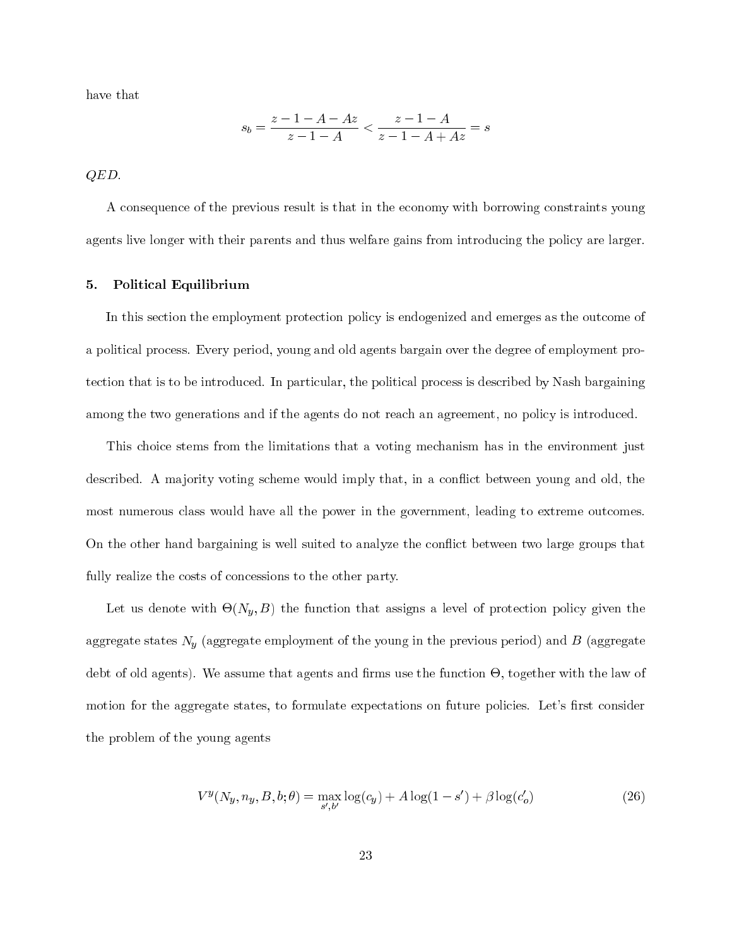have that

$$
s_b = \frac{z - 1 - A - Az}{z - 1 - A} < \frac{z - 1 - A}{z - 1 - A + Az} = s
$$

 $QED.$ 

A consequence of the previous result is that in the economy with borrowing constraints young agents live longer with their parents and thus welfare gains from introducing the policy are larger.

### Political Equilibrium 5.

In this section the employment protection policy is endogenized and emerges as the outcome of a political process. Every period, young and old agents bargain over the degree of employment protection that is to be introduced. In particular, the political process is described by Nash bargaining among the two generations and if the agents do not reach an agreement, no policy is introduced.

This choice stems from the limitations that a voting mechanism has in the environment just described. A majority voting scheme would imply that, in a conflict between young and old, the most numerous class would have all the power in the government, leading to extreme outcomes. On the other hand bargaining is well suited to analyze the conflict between two large groups that fully realize the costs of concessions to the other party.

Let us denote with  $\Theta(N_y, B)$  the function that assigns a level of protection policy given the aggregate states  $N_y$  (aggregate employment of the young in the previous period) and  $B$  (aggregate debt of old agents). We assume that agents and firms use the function  $\Theta$ , together with the law of motion for the aggregate states, to formulate expectations on future policies. Let's first consider the problem of the young agents

$$
V^{y}(N_{y}, n_{y}, B, b; \theta) = \max_{s' \ b'} \log(c_{y}) + A \log(1 - s') + \beta \log(c'_{o})
$$
\n(26)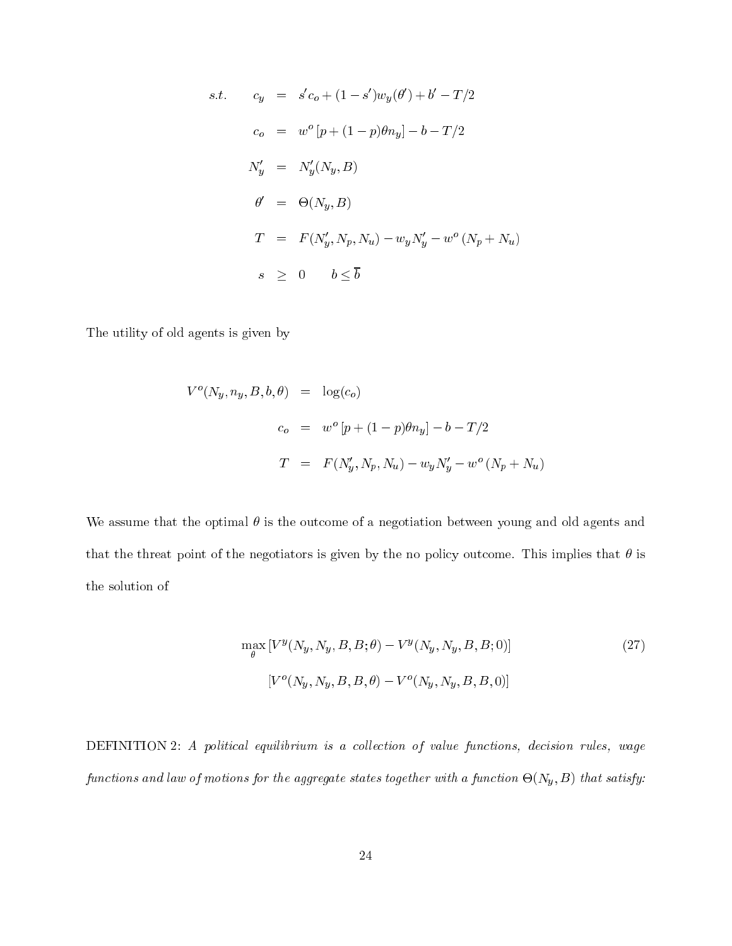s.t. 
$$
c_y = s'c_o + (1 - s')w_y(\theta') + b' - T/2
$$

$$
c_o = w^o [p + (1 - p)\theta n_y] - b - T/2
$$

$$
N'_y = N'_y(N_y, B)
$$

$$
\theta' = \Theta(N_y, B)
$$

$$
T = F(N'_y, N_p, N_u) - w_y N'_y - w^o (N_p + N_u)
$$

$$
s \geq 0 \t b \leq \overline{b}
$$

The utility of old agents is given by

$$
V^{o}(N_y, n_y, B, b, \theta) = \log(c_o)
$$
  

$$
c_o = w^{o}[p + (1 - p)\theta n_y] - b - T/2
$$
  

$$
T = F(N'_y, N_p, N_u) - w_y N'_y - w^{o}(N_p + N_u)
$$

We assume that the optimal  $\theta$  is the outcome of a negotiation between young and old agents and that the threat point of the negotiators is given by the no policy outcome. This implies that  $\theta$  is the solution of

$$
\max_{\theta} [V^y(N_y, N_y, B, B; \theta) - V^y(N_y, N_y, B, B; 0)]
$$
\n
$$
[V^o(N_y, N_y, B, B, \theta) - V^o(N_y, N_y, B, B, 0)]
$$
\n(27)

DEFINITION 2: A political equilibrium is a collection of value functions, decision rules, wage functions and law of motions for the aggregate states together with a function  $\Theta(N_y,B)$  that satisfy: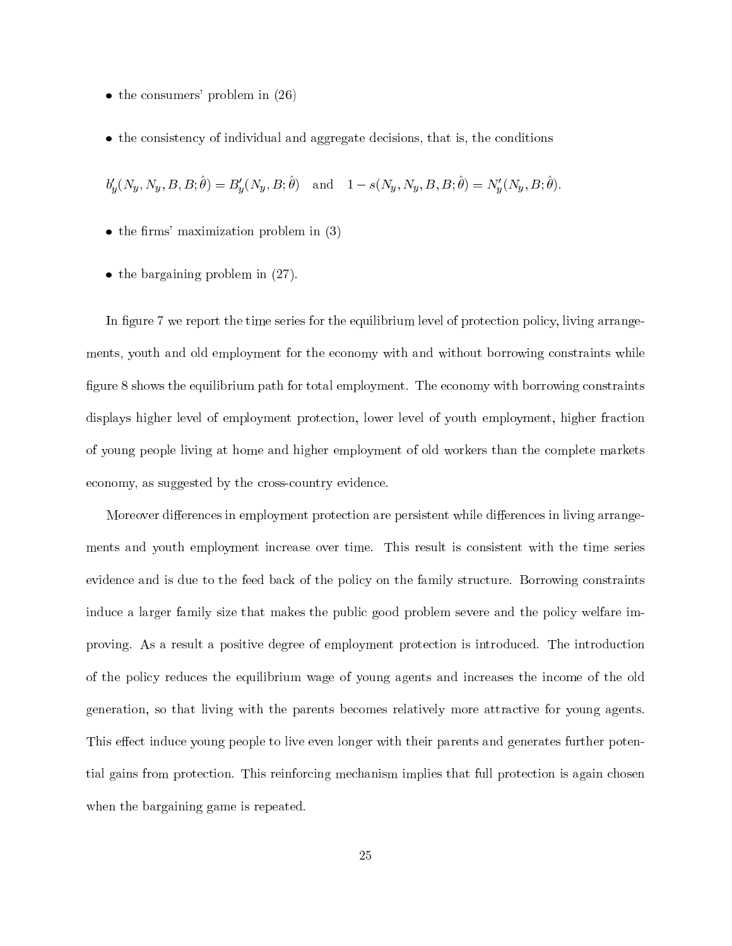- $\bullet$  the consumers' problem in (26)
- the consistency of individual and aggregate decisions, that is, the conditions

 $b'_{y}(N_{y}, N_{y}, B, B; \hat{\theta}) = B'_{y}(N_{y}, B; \hat{\theta})$  and  $1 - s(N_{y}, N_{y}, B, B; \hat{\theta}) = N'_{y}(N_{y}, B; \hat{\theta}).$ 

- $\bullet$  the firms' maximization problem in (3)
- $\bullet$  the bargaining problem in (27).

In figure 7 we report the time series for the equilibrium level of protection policy, living arrangements, youth and old employment for the economy with and without borrowing constraints while figure 8 shows the equilibrium path for total employment. The economy with borrowing constraints displays higher level of employment protection, lower level of youth employment, higher fraction of young people living at home and higher employment of old workers than the complete markets economy, as suggested by the cross-country evidence.

Moreover differences in employment protection are persistent while differences in living arrangements and youth employment increase over time. This result is consistent with the time series evidence and is due to the feed back of the policy on the family structure. Borrowing constraints induce a larger family size that makes the public good problem severe and the policy welfare improving. As a result a positive degree of employment protection is introduced. The introduction of the policy reduces the equilibrium wage of young agents and increases the income of the old generation, so that living with the parents becomes relatively more attractive for young agents. This effect induce young people to live even longer with their parents and generates further potential gains from protection. This reinforcing mechanism implies that full protection is again chosen when the bargaining game is repeated.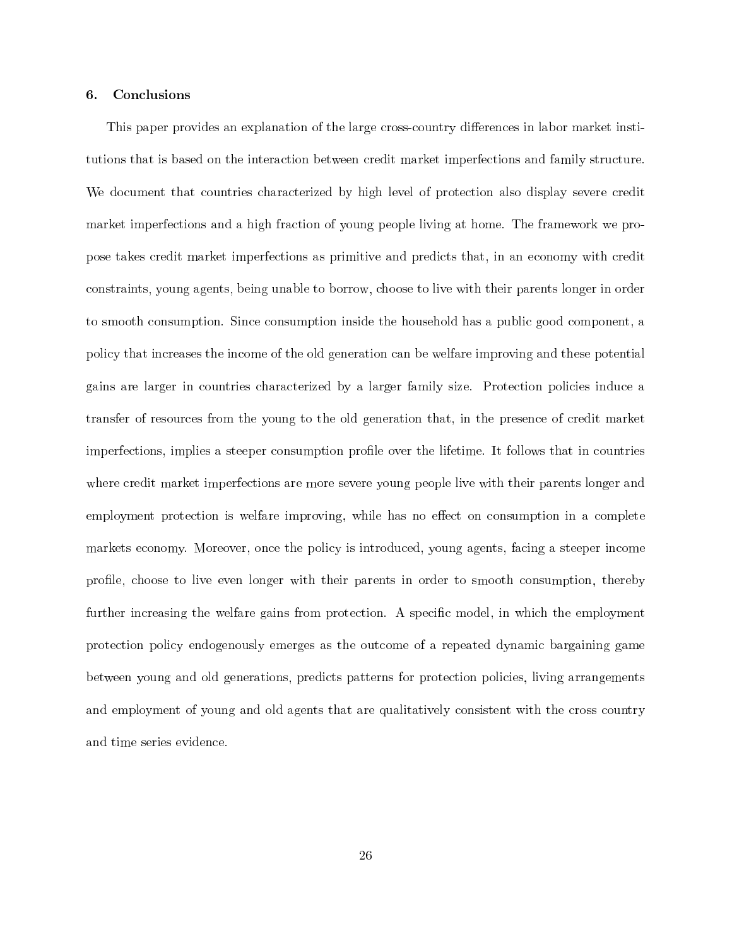#### 6. Conclusions

This paper provides an explanation of the large cross-country differences in labor market institutions that is based on the interaction between credit market imperfections and family structure. We document that countries characterized by high level of protection also display severe credit market imperfections and a high fraction of young people living at home. The framework we propose takes credit market imperfections as primitive and predicts that, in an economy with credit constraints, young agents, being unable to borrow, choose to live with their parents longer in order to smooth consumption. Since consumption inside the household has a public good component, a policy that increases the income of the old generation can be welfare improving and these potential gains are larger in countries characterized by a larger family size. Protection policies induce a transfer of resources from the young to the old generation that, in the presence of credit market imperfections, implies a steeper consumption profile over the lifetime. It follows that in countries where credit market imperfections are more severe young people live with their parents longer and employment protection is welfare improving, while has no effect on consumption in a complete markets economy. Moreover, once the policy is introduced, young agents, facing a steeper income profile, choose to live even longer with their parents in order to smooth consumption, thereby further increasing the welfare gains from protection. A specific model, in which the employment protection policy endogenously emerges as the outcome of a repeated dynamic bargaining game between young and old generations, predicts patterns for protection policies, living arrangements and employment of young and old agents that are qualitatively consistent with the cross country and time series evidence.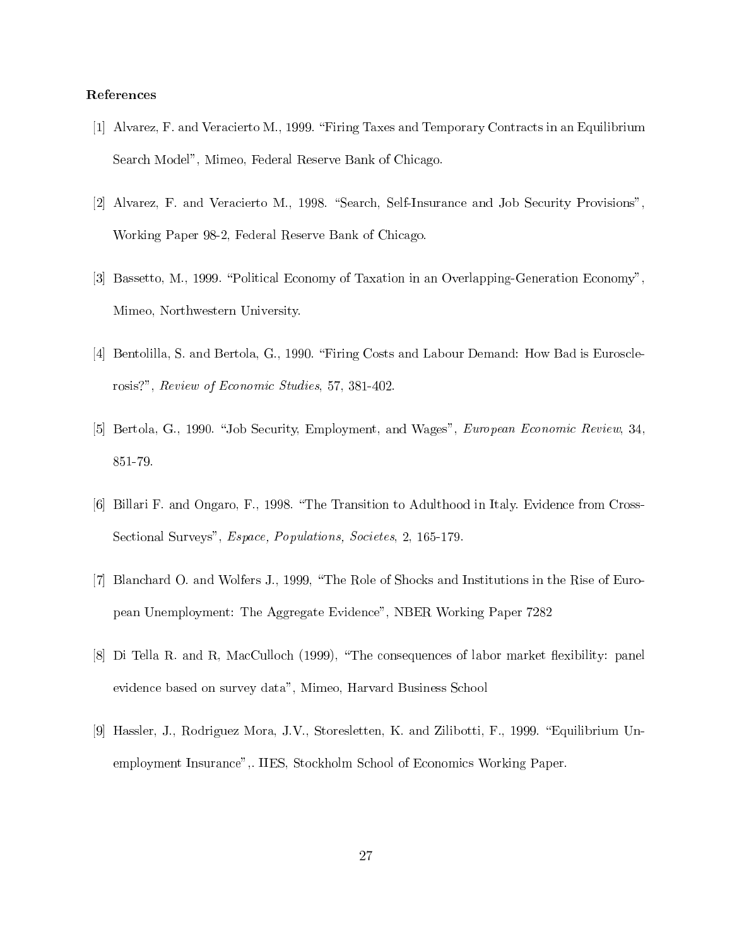### References

- [1] Alvarez, F. and Veracierto M., 1999. "Firing Taxes and Temporary Contracts in an Equilibrium Search Model", Mimeo, Federal Reserve Bank of Chicago.
- [2] Alvarez, F. and Veracierto M., 1998. "Search, Self-Insurance and Job Security Provisions", Working Paper 98-2, Federal Reserve Bank of Chicago.
- [3] Bassetto, M., 1999. "Political Economy of Taxation in an Overlapping-Generation Economy", Mimeo, Northwestern University.
- [4] Bentolilla, S. and Bertola, G., 1990. "Firing Costs and Labour Demand: How Bad is Eurosclerosis?", Review of Economic Studies, 57, 381-402.
- [5] Bertola, G., 1990. "Job Security, Employment, and Wages", European Economic Review, 34, 851-79.
- [6] Billari F. and Ongaro, F., 1998. "The Transition to Adulthood in Italy. Evidence from Cross-Sectional Surveys", *Espace, Populations, Societes, 2, 165-179.*
- [7] Blanchard O. and Wolfers J., 1999, "The Role of Shocks and Institutions in the Rise of European Unemployment: The Aggregate Evidence", NBER Working Paper 7282
- [8] Di Tella R. and R, MacCulloch (1999), "The consequences of labor market flexibility: panel evidence based on survey data", Mimeo, Harvard Business School
- [9] Hassler, J., Rodriguez Mora, J.V., Storesletten, K. and Zilibotti, F., 1999. "Equilibrium Unemployment Insurance",. IIES, Stockholm School of Economics Working Paper.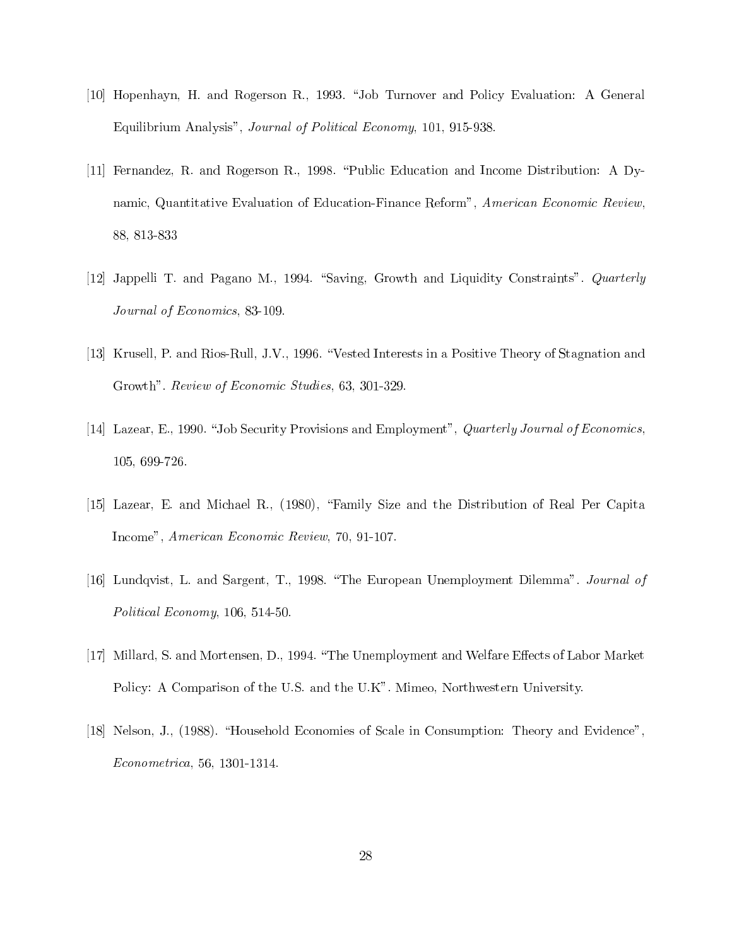- [10] Hopenhayn, H. and Rogerson R., 1993. "Job Turnover and Policy Evaluation: A General Equilibrium Analysis", Journal of Political Economy, 101, 915-938.
- [11] Fernandez, R. and Rogerson R., 1998. "Public Education and Income Distribution: A Dynamic, Quantitative Evaluation of Education-Finance Reform", American Economic Review, 88, 813-833
- [12] Jappelli T. and Pagano M., 1994. "Saving, Growth and Liquidity Constraints". Quarterly Journal of Economics, 83-109.
- [13] Krusell, P. and Rios-Rull, J.V., 1996. "Vested Interests in a Positive Theory of Stagnation and Growth". Review of Economic Studies, 63, 301-329.
- [14] Lazear, E., 1990. "Job Security Provisions and Employment", Quarterly Journal of Economics, 105, 699-726.
- [15] Lazear, E. and Michael R., (1980), "Family Size and the Distribution of Real Per Capita Income", American Economic Review, 70, 91-107.
- [16] Lundqvist, L. and Sargent, T., 1998. "The European Unemployment Dilemma". Journal of Political Economy, 106, 514-50.
- [17] Millard, S. and Mortensen, D., 1994. "The Unemployment and Welfare Effects of Labor Market Policy: A Comparison of the U.S. and the U.K". Mimeo, Northwestern University.
- [18] Nelson, J., (1988). "Household Economies of Scale in Consumption: Theory and Evidence". Econometrica, 56, 1301-1314.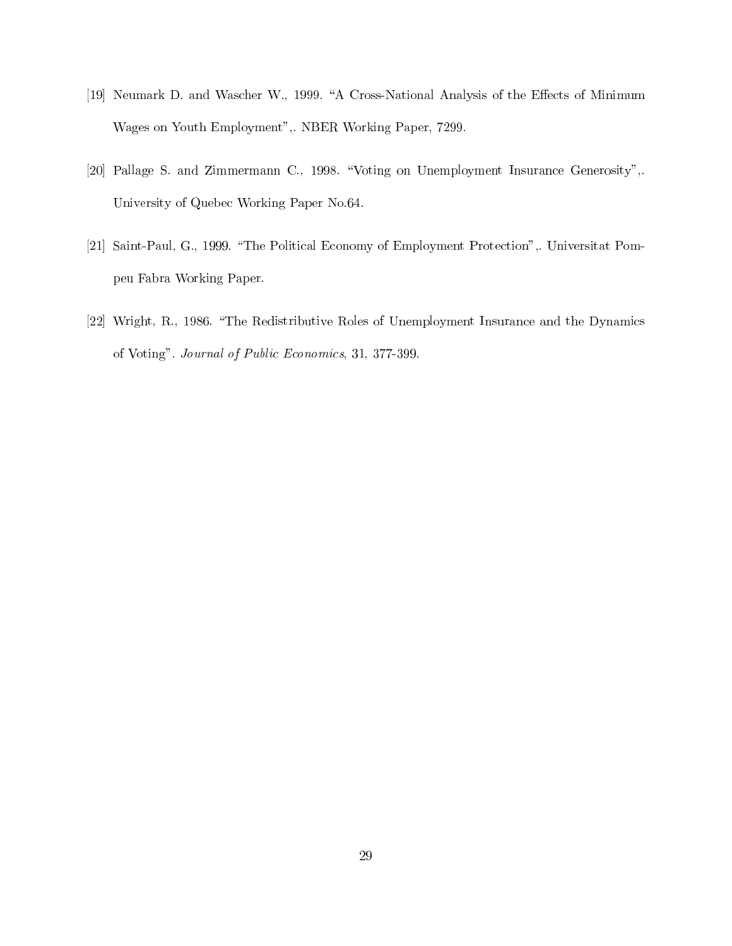- [19] Neumark D. and Wascher W., 1999. "A Cross-National Analysis of the Effects of Minimum Wages on Youth Employment",. NBER Working Paper, 7299.
- [20] Pallage S. and Zimmermann C., 1998. "Voting on Unemployment Insurance Generosity",. University of Quebec Working Paper No.64.
- [21] Saint-Paul, G., 1999. "The Political Economy of Employment Protection",. Universitat Pompeu Fabra Working Paper.
- [22] Wright, R., 1986. "The Redistributive Roles of Unemployment Insurance and the Dynamics of Voting". Journal of Public Economics, 31, 377-399.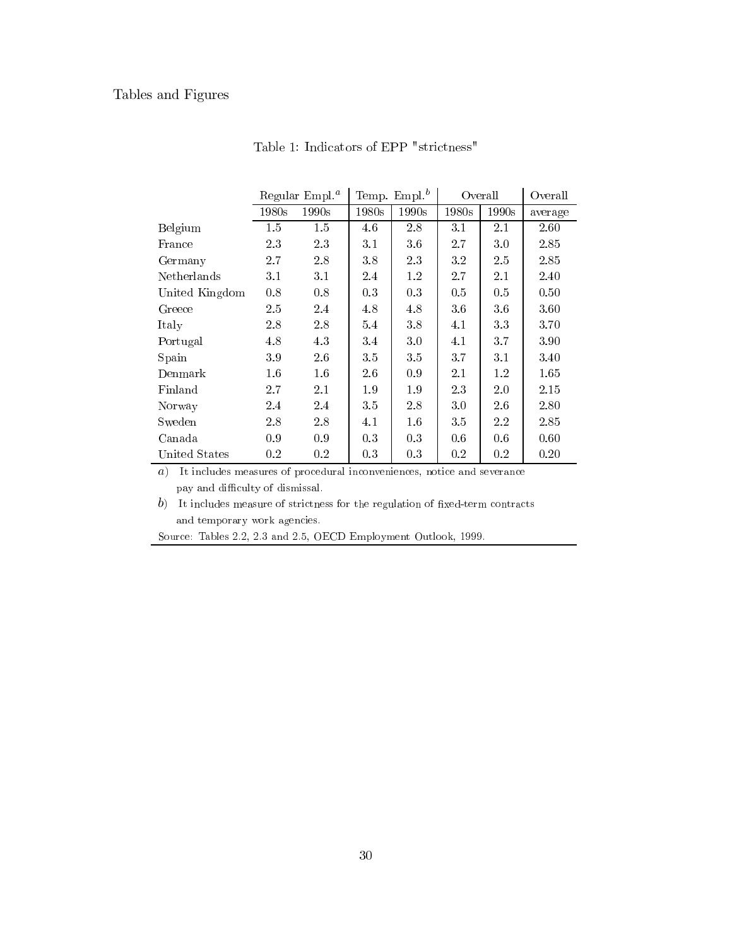## Tables and Figures

|                |       | Regular $Empl.a$ |       | Temp. Empl. $^b$<br>Overall |         | Overall |         |
|----------------|-------|------------------|-------|-----------------------------|---------|---------|---------|
|                | 1980s | 1990s            | 1980s | 1990s                       | 1980s   | 1990s   | average |
| Belgium        | 1.5   | 1.5              | 4.6   | 2.8                         | 3.1     | 2.1     | 2.60    |
| France         | 2.3   | 2.3              | 3.1   | 3.6                         | 2.7     | 3.0     | 2.85    |
| Germany        | 2.7   | 2.8              | 3.8   | 2.3                         | $3.2\,$ | 2.5     | 2.85    |
| Netherlands    | 3.1   | 3.1              | 2.4   | 1.2                         | 2.7     | 2.1     | 2.40    |
| United Kingdom | 0.8   | 0.8              | 0.3   | 0.3                         | 0.5     | 0.5     | 0.50    |
| Greece         | 2.5   | 2.4              | 4.8   | 4.8                         | 3.6     | 3.6     | 3.60    |
| Italy          | 2.8   | 2.8              | 5.4   | 3.8                         | 4.1     | 3.3     | 3.70    |
| Portugal       | 4.8   | 4.3              | 3.4   | 3.0                         | 4.1     | 3.7     | 3.90    |
| Spain          | 3.9   | 2.6              | 3.5   | 3.5                         | 3.7     | 3.1     | 3.40    |
| Denmark        | 1.6   | 1.6              | 2.6   | 0.9                         | 2.1     | 1.2     | 1.65    |
| Finland        | 2.7   | 2.1              | 1.9   | 1.9                         | 2.3     | 2.0     | 2.15    |
| Norway         | 2.4   | 2.4              | 3.5   | 2.8                         | 3.0     | 2.6     | 2.80    |
| Sweden         | 2.8   | 2.8              | 4.1   | 1.6                         | 3.5     | 2.2     | 2.85    |
| Canada         | 0.9   | 0.9              | 0.3   | 0.3                         | 0.6     | 0.6     | 0.60    |
| United States  | 0.2   | 0.2              | 0.3   | 0.3                         | 0.2     | 0.2     | 0.20    |

Table 1: Indicators of EPP "strictness"

 $a)$  It includes measures of procedural inconveniences, notice and severance pay and difficulty of dismissal.

 $b)$  It includes measure of strictness for the regulation of fixed-term contracts and temporary work agencies.

Source: Tables 2.2, 2.3 and 2.5, OECD Employment Outlook, 1999.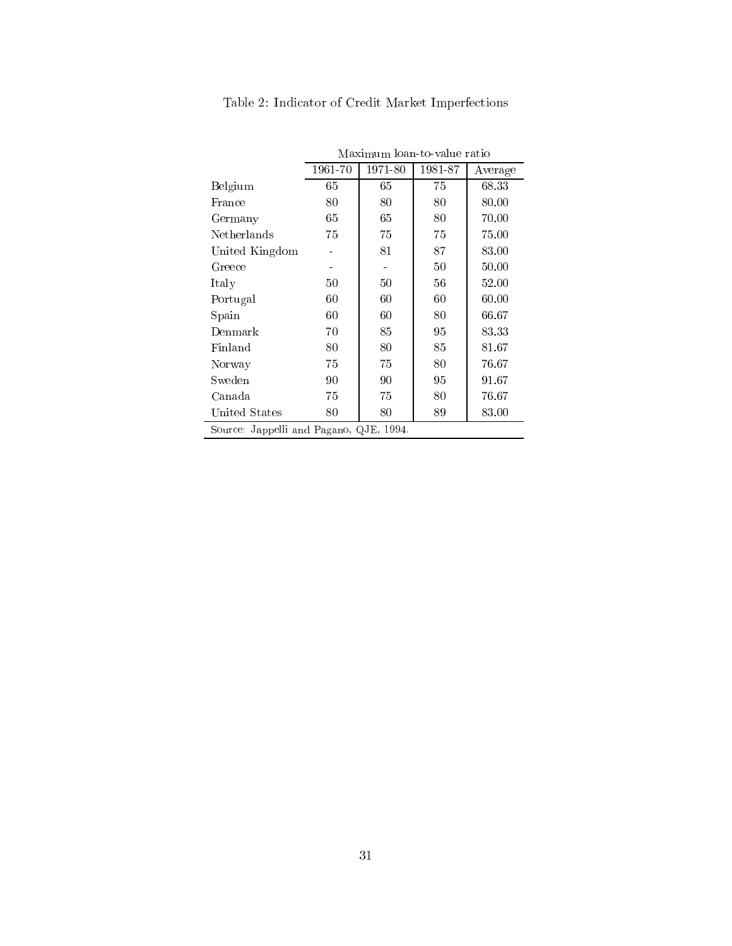|                                         | Maximum loan-to-value ratio |         |         |         |  |  |  |  |
|-----------------------------------------|-----------------------------|---------|---------|---------|--|--|--|--|
|                                         | 1961-70                     | 1971-80 | 1981-87 | Average |  |  |  |  |
| Belgium                                 | 65                          | 65      | 75      | 68.33   |  |  |  |  |
| France                                  | 80                          | 80      | 80      | 80.00   |  |  |  |  |
| Germany                                 | 65                          | 65      | 80      | 70.00   |  |  |  |  |
| Netherlands                             | 75                          | 75      | 75      | 75.00   |  |  |  |  |
| United Kingdom                          |                             | 81      | 87      | 83.00   |  |  |  |  |
| Greece                                  |                             |         | $50\,$  | 50.00   |  |  |  |  |
| Italy                                   | 50                          | 50      | 56      | 52.00   |  |  |  |  |
| Portugal                                | 60                          | 60      | 60      | 60.00   |  |  |  |  |
| Spain                                   | 60                          | 60      | 80      | 66.67   |  |  |  |  |
| Denmark                                 | 70                          | 85      | 95      | 83.33   |  |  |  |  |
| Finland                                 | 80                          | 80      | 85      | 81.67   |  |  |  |  |
| Norway                                  | 75                          | 75      | 80      | 76.67   |  |  |  |  |
| Sweden                                  | 90                          | 90      | 95      | 91.67   |  |  |  |  |
| Canada                                  | 75                          | 75      | 80      | 76.67   |  |  |  |  |
| United States                           | 80                          | 80      | 89      | 83.00   |  |  |  |  |
| Source: Jappelli and Pagano, QJE, 1994. |                             |         |         |         |  |  |  |  |

Table 2: Indicator of Credit Market Imperfections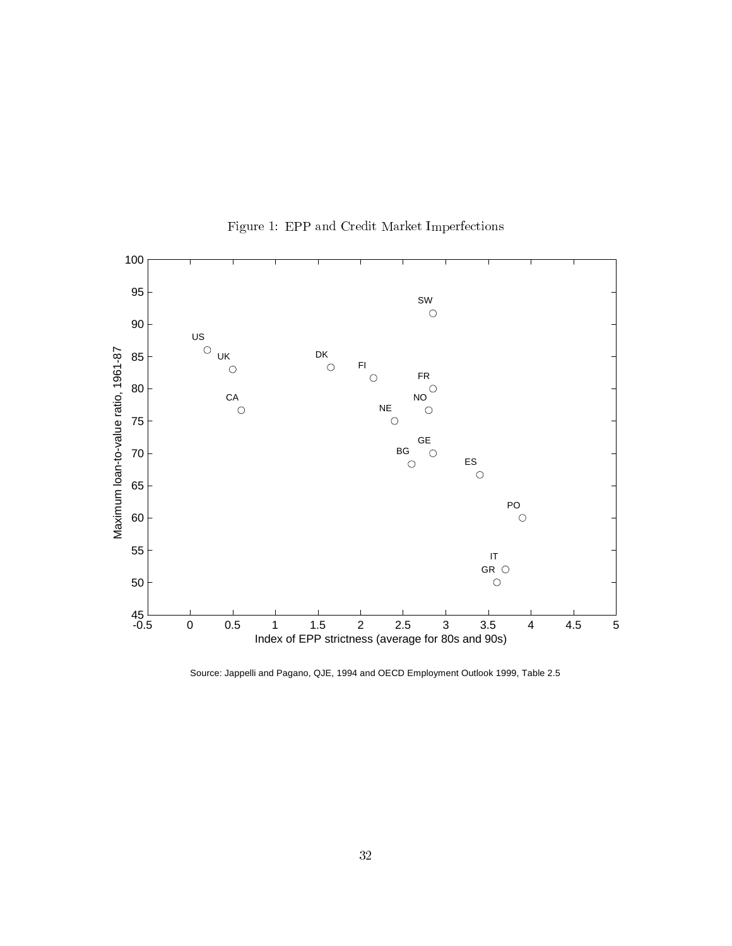

Figure 1: EPP and Credit Market Imperfections

Source: Jappelli and Pagano, QJE, 1994 and OECD Employment Outlook 1999, Table 2.5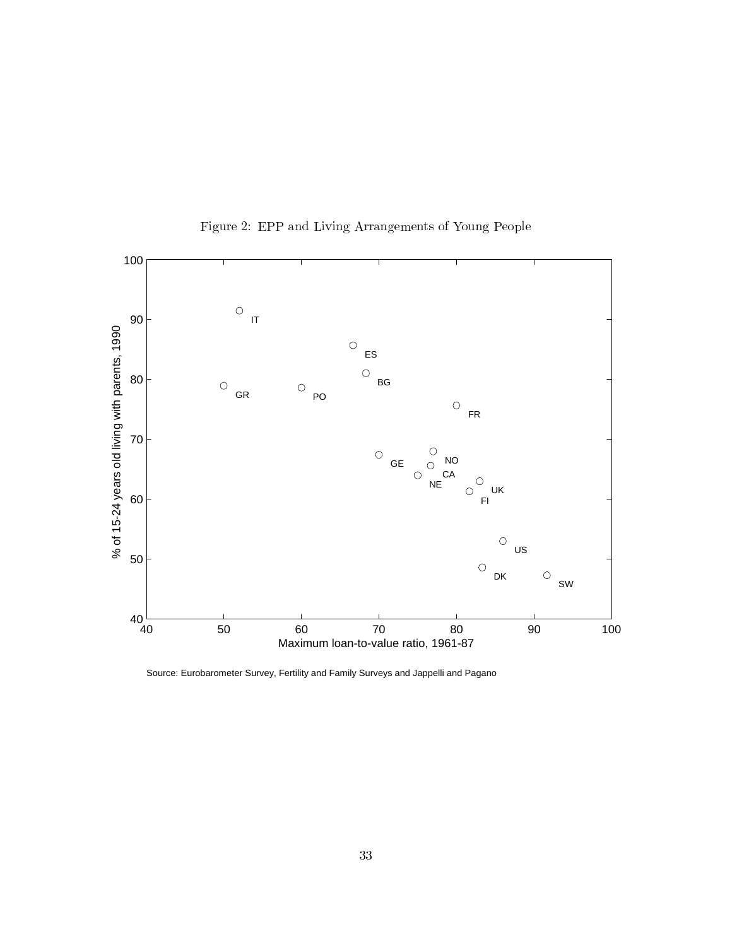

Figure 2: EPP and Living Arrangements of Young People

Source: Eurobarometer Survey, Fertility and Family Surveys and Jappelli and Pagano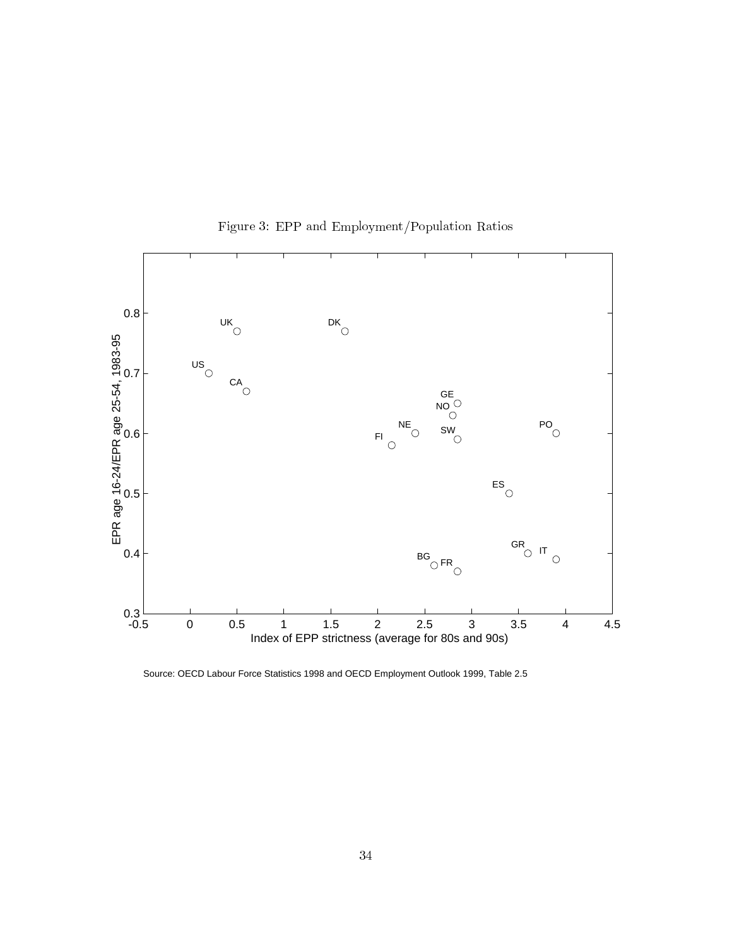

Figure 3: EPP and Employment/Population Ratios

Source: OECD Labour Force Statistics 1998 and OECD Employment Outlook 1999, Table 2.5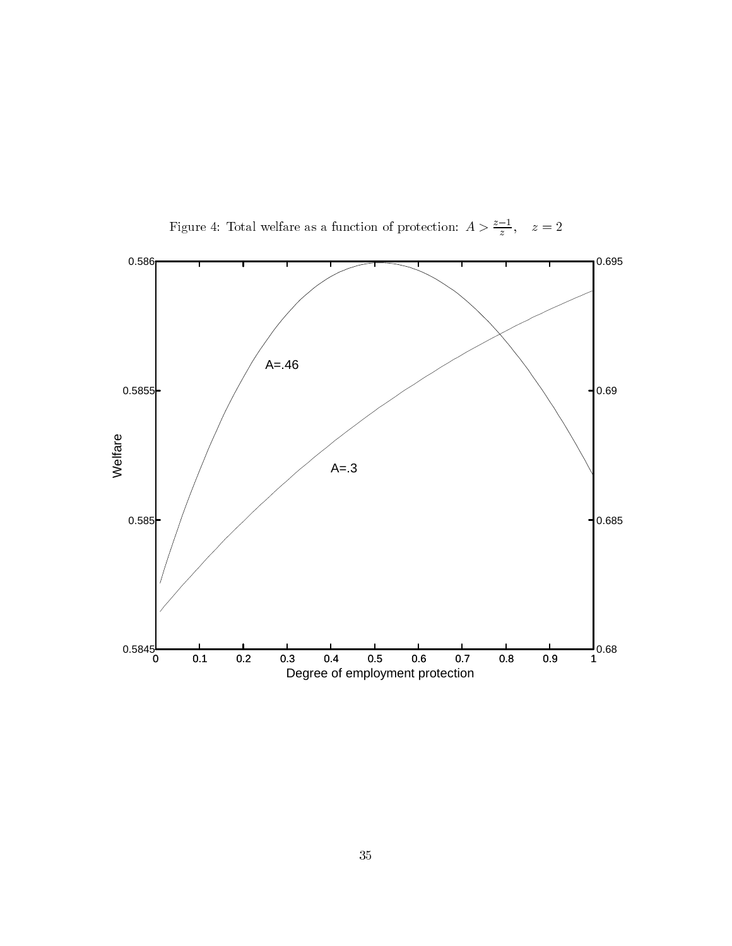

Figure 4: Total welfare as a function of protection:  $A > \frac{z-1}{z}$ ,  $z = 2$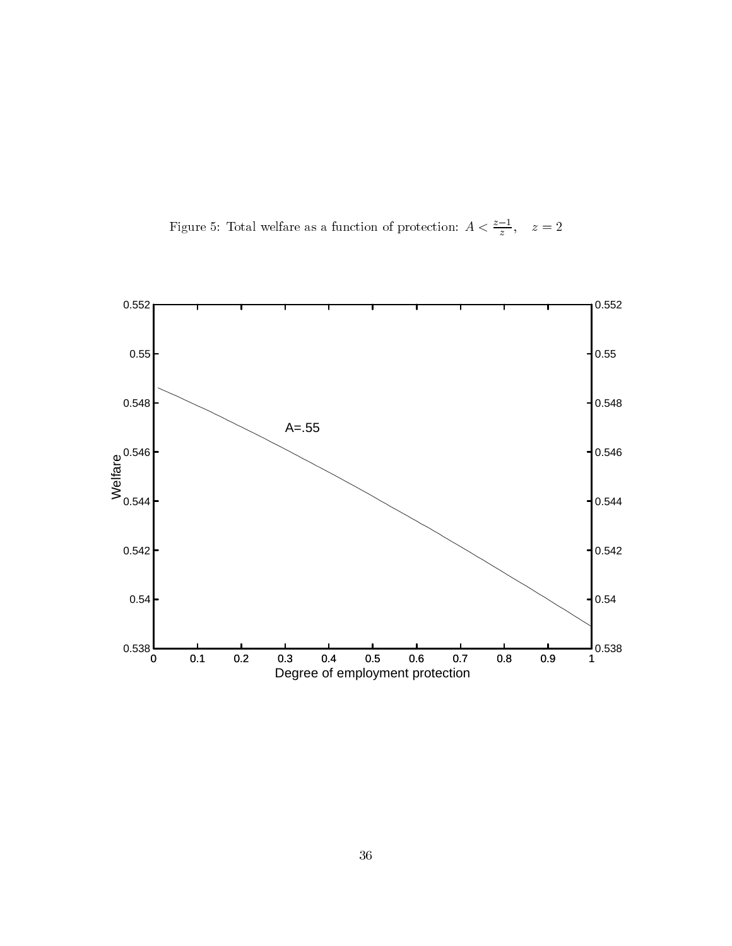Figure 5: Total welfare as a function of protection:  $A < \frac{z-1}{z}$ ,  $z = 2$ 

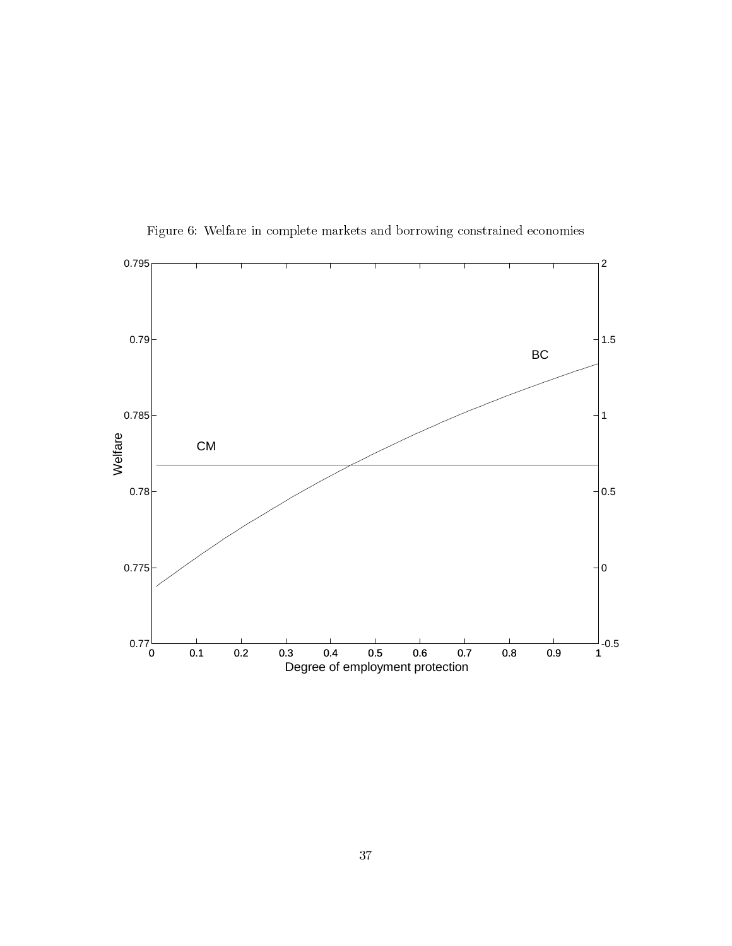![](_page_37_Figure_0.jpeg)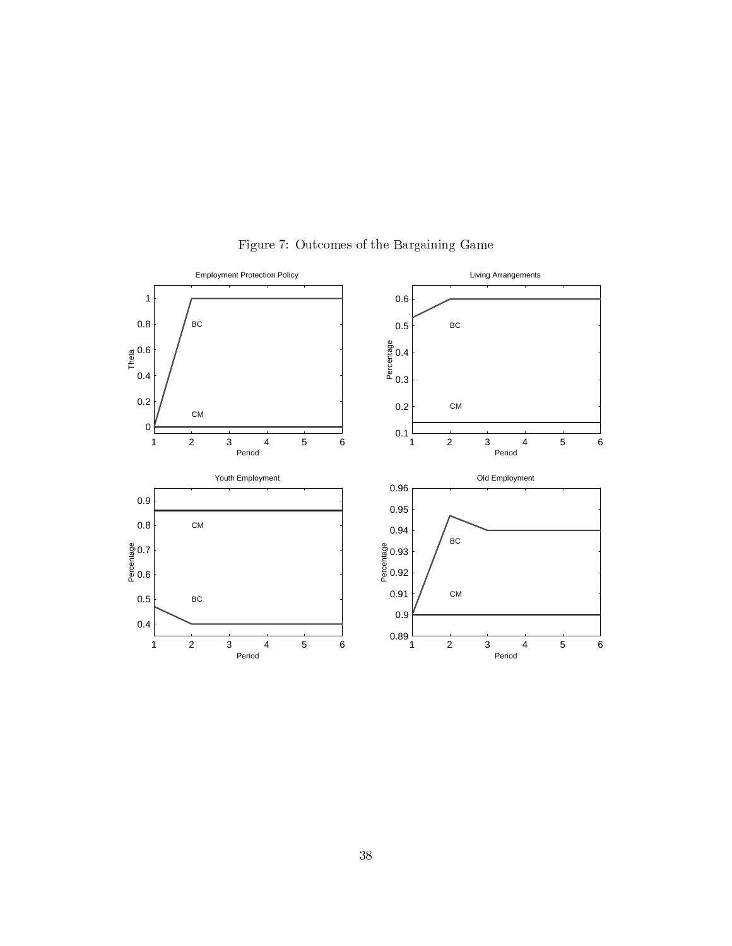![](_page_38_Figure_0.jpeg)